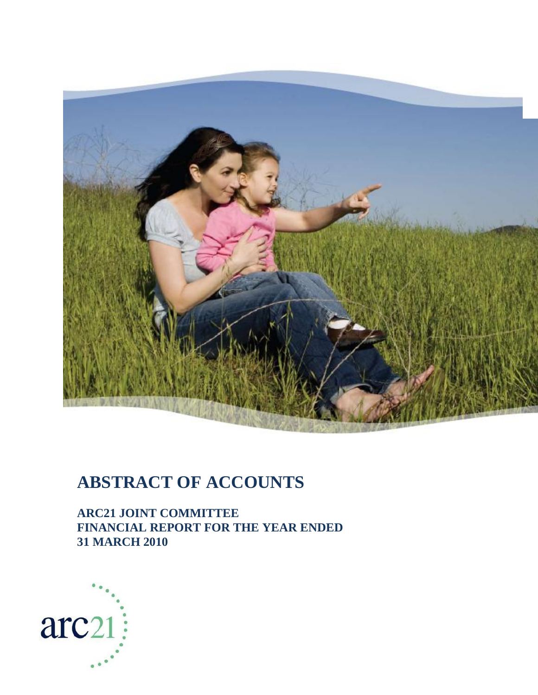

# **ABSTRACT OF ACCOUNTS**

**ARC21 JOINT COMMITTEE FINANCIAL REPORT FOR THE YEAR ENDED 31 MARCH 2010**

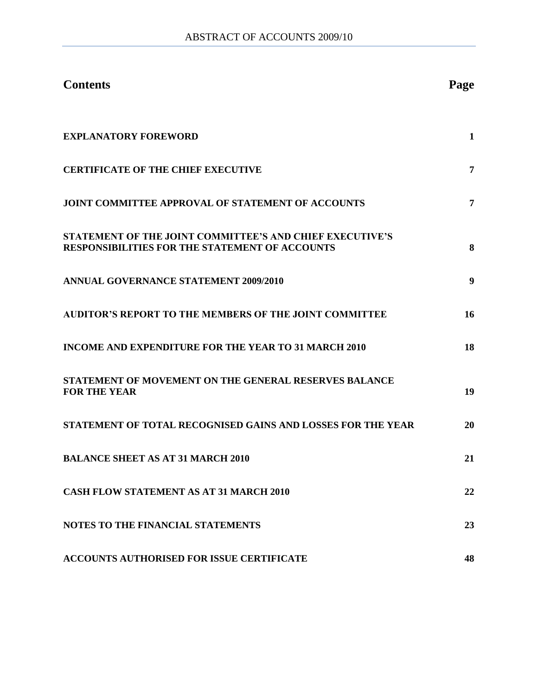| <b>Contents</b>                                                                                                          | Page |
|--------------------------------------------------------------------------------------------------------------------------|------|
| <b>EXPLANATORY FOREWORD</b>                                                                                              | 1    |
| <b>CERTIFICATE OF THE CHIEF EXECUTIVE</b>                                                                                | 7    |
| <b>JOINT COMMITTEE APPROVAL OF STATEMENT OF ACCOUNTS</b>                                                                 | 7    |
| <b>STATEMENT OF THE JOINT COMMITTEE'S AND CHIEF EXECUTIVE'S</b><br><b>RESPONSIBILITIES FOR THE STATEMENT OF ACCOUNTS</b> | 8    |
| <b>ANNUAL GOVERNANCE STATEMENT 2009/2010</b>                                                                             | 9    |
| <b>AUDITOR'S REPORT TO THE MEMBERS OF THE JOINT COMMITTEE</b>                                                            | 16   |
| <b>INCOME AND EXPENDITURE FOR THE YEAR TO 31 MARCH 2010</b>                                                              | 18   |
| <b>STATEMENT OF MOVEMENT ON THE GENERAL RESERVES BALANCE</b><br><b>FOR THE YEAR</b>                                      | 19   |
| STATEMENT OF TOTAL RECOGNISED GAINS AND LOSSES FOR THE YEAR                                                              | 20   |
| <b>BALANCE SHEET AS AT 31 MARCH 2010</b>                                                                                 | 21   |
| <b>CASH FLOW STATEMENT AS AT 31 MARCH 2010</b>                                                                           | 22   |
| <b>NOTES TO THE FINANCIAL STATEMENTS</b>                                                                                 | 23   |
| <b>ACCOUNTS AUTHORISED FOR ISSUE CERTIFICATE</b>                                                                         | 48   |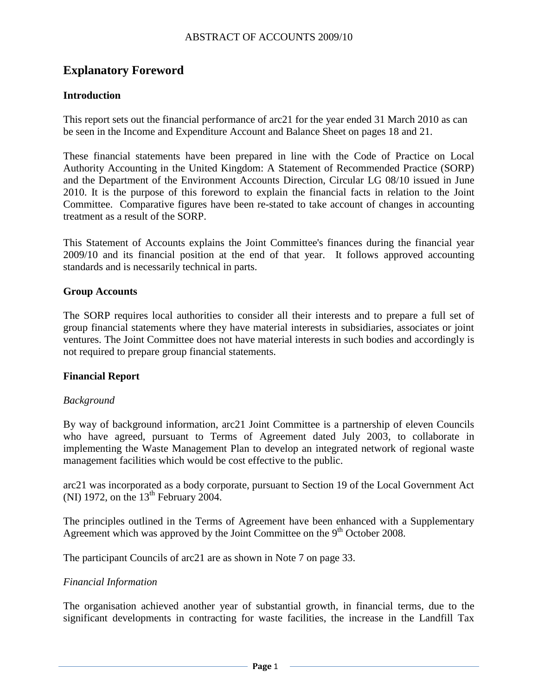# **Explanatory Foreword**

#### **Introduction**

This report sets out the financial performance of arc21 for the year ended 31 March 2010 as can be seen in the Income and Expenditure Account and Balance Sheet on pages 18 and 21.

These financial statements have been prepared in line with the Code of Practice on Local Authority Accounting in the United Kingdom: A Statement of Recommended Practice (SORP) and the Department of the Environment Accounts Direction, Circular LG 08/10 issued in June 2010. It is the purpose of this foreword to explain the financial facts in relation to the Joint Committee. Comparative figures have been re-stated to take account of changes in accounting treatment as a result of the SORP.

This Statement of Accounts explains the Joint Committee's finances during the financial year 2009/10 and its financial position at the end of that year. It follows approved accounting standards and is necessarily technical in parts.

#### **Group Accounts**

The SORP requires local authorities to consider all their interests and to prepare a full set of group financial statements where they have material interests in subsidiaries, associates or joint ventures. The Joint Committee does not have material interests in such bodies and accordingly is not required to prepare group financial statements.

#### **Financial Report**

#### *Background*

By way of background information, arc21 Joint Committee is a partnership of eleven Councils who have agreed, pursuant to Terms of Agreement dated July 2003, to collaborate in implementing the Waste Management Plan to develop an integrated network of regional waste management facilities which would be cost effective to the public.

arc21 was incorporated as a body corporate, pursuant to Section 19 of the Local Government Act (NI) 1972, on the  $13<sup>th</sup>$  February 2004.

The principles outlined in the Terms of Agreement have been enhanced with a Supplementary Agreement which was approved by the Joint Committee on the  $9<sup>th</sup>$  October 2008.

The participant Councils of arc21 are as shown in Note 7 on page 33.

#### *Financial Information*

The organisation achieved another year of substantial growth, in financial terms, due to the significant developments in contracting for waste facilities, the increase in the Landfill Tax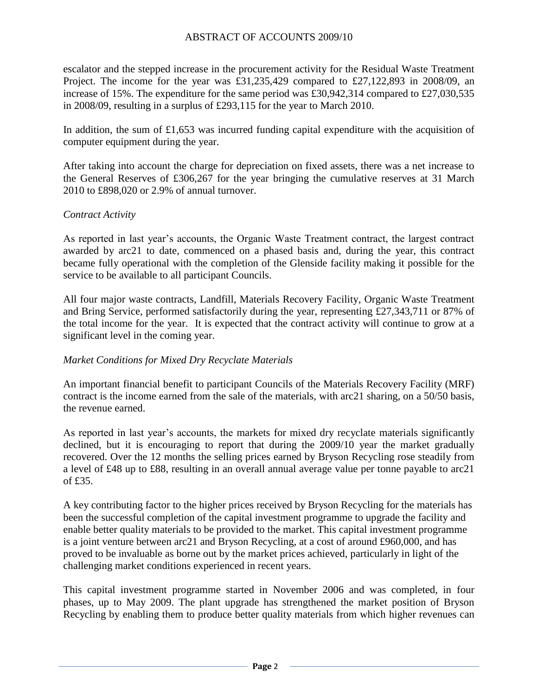escalator and the stepped increase in the procurement activity for the Residual Waste Treatment Project. The income for the year was £31,235,429 compared to £27,122,893 in 2008/09, an increase of 15%. The expenditure for the same period was £30,942,314 compared to £27,030,535 in 2008/09, resulting in a surplus of £293,115 for the year to March 2010.

In addition, the sum of £1,653 was incurred funding capital expenditure with the acquisition of computer equipment during the year.

After taking into account the charge for depreciation on fixed assets, there was a net increase to the General Reserves of £306,267 for the year bringing the cumulative reserves at 31 March 2010 to £898,020 or 2.9% of annual turnover.

#### *Contract Activity*

As reported in last year's accounts, the Organic Waste Treatment contract, the largest contract awarded by arc21 to date, commenced on a phased basis and, during the year, this contract became fully operational with the completion of the Glenside facility making it possible for the service to be available to all participant Councils.

All four major waste contracts, Landfill, Materials Recovery Facility, Organic Waste Treatment and Bring Service, performed satisfactorily during the year, representing £27,343,711 or 87% of the total income for the year. It is expected that the contract activity will continue to grow at a significant level in the coming year.

#### *Market Conditions for Mixed Dry Recyclate Materials*

An important financial benefit to participant Councils of the Materials Recovery Facility (MRF) contract is the income earned from the sale of the materials, with arc21 sharing, on a 50/50 basis, the revenue earned.

As reported in last year's accounts, the markets for mixed dry recyclate materials significantly declined, but it is encouraging to report that during the 2009/10 year the market gradually recovered. Over the 12 months the selling prices earned by Bryson Recycling rose steadily from a level of £48 up to £88, resulting in an overall annual average value per tonne payable to arc21 of £35.

A key contributing factor to the higher prices received by Bryson Recycling for the materials has been the successful completion of the capital investment programme to upgrade the facility and enable better quality materials to be provided to the market. This capital investment programme is a joint venture between arc21 and Bryson Recycling, at a cost of around £960,000, and has proved to be invaluable as borne out by the market prices achieved, particularly in light of the challenging market conditions experienced in recent years.

This capital investment programme started in November 2006 and was completed, in four phases, up to May 2009. The plant upgrade has strengthened the market position of Bryson Recycling by enabling them to produce better quality materials from which higher revenues can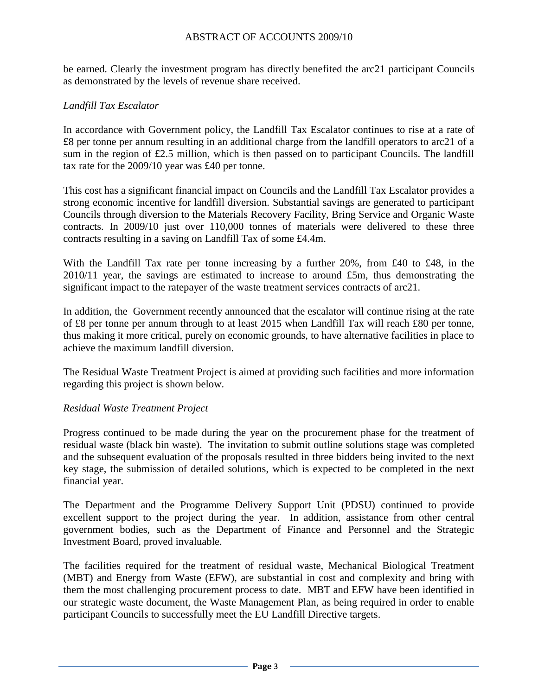be earned. Clearly the investment program has directly benefited the arc21 participant Councils as demonstrated by the levels of revenue share received.

#### *Landfill Tax Escalator*

In accordance with Government policy, the Landfill Tax Escalator continues to rise at a rate of £8 per tonne per annum resulting in an additional charge from the landfill operators to arc21 of a sum in the region of £2.5 million, which is then passed on to participant Councils. The landfill tax rate for the 2009/10 year was £40 per tonne.

This cost has a significant financial impact on Councils and the Landfill Tax Escalator provides a strong economic incentive for landfill diversion. Substantial savings are generated to participant Councils through diversion to the Materials Recovery Facility, Bring Service and Organic Waste contracts. In 2009/10 just over 110,000 tonnes of materials were delivered to these three contracts resulting in a saving on Landfill Tax of some £4.4m.

With the Landfill Tax rate per tonne increasing by a further 20%, from £40 to £48, in the  $2010/11$  year, the savings are estimated to increase to around £5m, thus demonstrating the significant impact to the ratepayer of the waste treatment services contracts of arc21.

In addition, the Government recently announced that the escalator will continue rising at the rate of £8 per tonne per annum through to at least 2015 when Landfill Tax will reach £80 per tonne, thus making it more critical, purely on economic grounds, to have alternative facilities in place to achieve the maximum landfill diversion.

The Residual Waste Treatment Project is aimed at providing such facilities and more information regarding this project is shown below.

#### *Residual Waste Treatment Project*

Progress continued to be made during the year on the procurement phase for the treatment of residual waste (black bin waste). The invitation to submit outline solutions stage was completed and the subsequent evaluation of the proposals resulted in three bidders being invited to the next key stage, the submission of detailed solutions, which is expected to be completed in the next financial year.

The Department and the Programme Delivery Support Unit (PDSU) continued to provide excellent support to the project during the year. In addition, assistance from other central government bodies, such as the Department of Finance and Personnel and the Strategic Investment Board, proved invaluable.

The facilities required for the treatment of residual waste, Mechanical Biological Treatment (MBT) and Energy from Waste (EFW), are substantial in cost and complexity and bring with them the most challenging procurement process to date. MBT and EFW have been identified in our strategic waste document, the Waste Management Plan, as being required in order to enable participant Councils to successfully meet the EU Landfill Directive targets.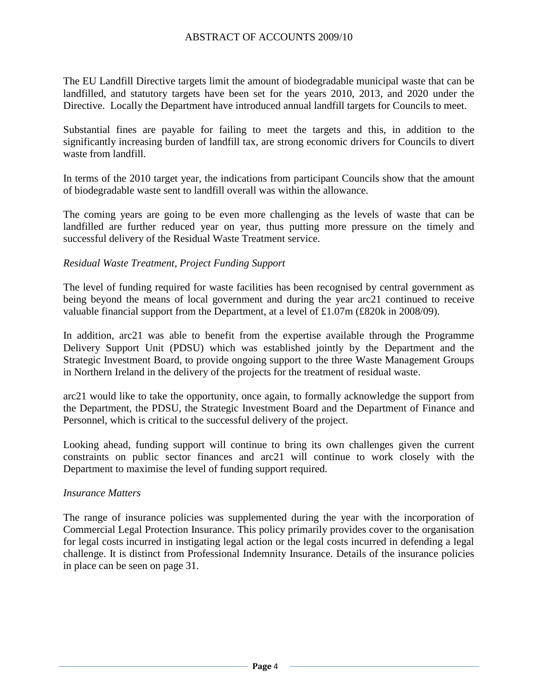The EU Landfill Directive targets limit the amount of biodegradable municipal waste that can be landfilled, and statutory targets have been set for the years 2010, 2013, and 2020 under the Directive. Locally the Department have introduced annual landfill targets for Councils to meet.

Substantial fines are payable for failing to meet the targets and this, in addition to the significantly increasing burden of landfill tax, are strong economic drivers for Councils to divert waste from landfill.

In terms of the 2010 target year, the indications from participant Councils show that the amount of biodegradable waste sent to landfill overall was within the allowance.

The coming years are going to be even more challenging as the levels of waste that can be landfilled are further reduced year on year, thus putting more pressure on the timely and successful delivery of the Residual Waste Treatment service.

#### *Residual Waste Treatment, Project Funding Support*

The level of funding required for waste facilities has been recognised by central government as being beyond the means of local government and during the year arc21 continued to receive valuable financial support from the Department, at a level of £1.07m (£820k in 2008/09).

In addition, arc21 was able to benefit from the expertise available through the Programme Delivery Support Unit (PDSU) which was established jointly by the Department and the Strategic Investment Board, to provide ongoing support to the three Waste Management Groups in Northern Ireland in the delivery of the projects for the treatment of residual waste.

arc21 would like to take the opportunity, once again, to formally acknowledge the support from the Department, the PDSU, the Strategic Investment Board and the Department of Finance and Personnel, which is critical to the successful delivery of the project.

Looking ahead, funding support will continue to bring its own challenges given the current constraints on public sector finances and arc21 will continue to work closely with the Department to maximise the level of funding support required.

#### *Insurance Matters*

The range of insurance policies was supplemented during the year with the incorporation of Commercial Legal Protection Insurance. This policy primarily provides cover to the organisation for legal costs incurred in instigating legal action or the legal costs incurred in defending a legal challenge. It is distinct from Professional Indemnity Insurance. Details of the insurance policies in place can be seen on page 31.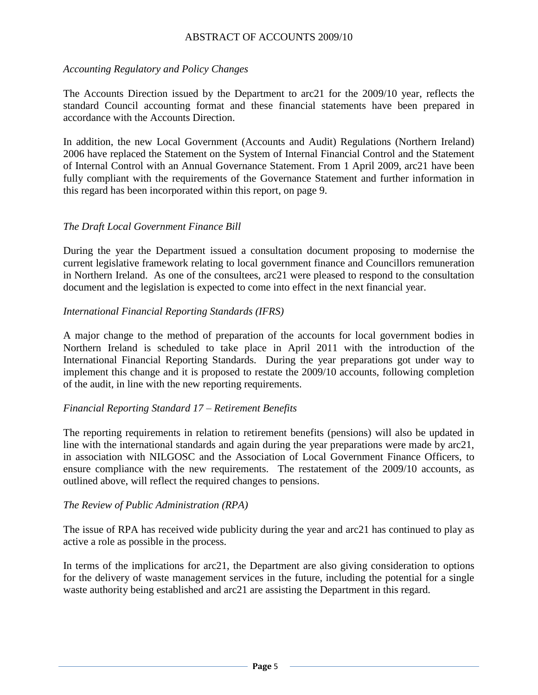#### *Accounting Regulatory and Policy Changes*

The Accounts Direction issued by the Department to arc21 for the 2009/10 year, reflects the standard Council accounting format and these financial statements have been prepared in accordance with the Accounts Direction.

In addition, the new Local Government (Accounts and Audit) Regulations (Northern Ireland) 2006 have replaced the Statement on the System of Internal Financial Control and the Statement of Internal Control with an Annual Governance Statement. From 1 April 2009, arc21 have been fully compliant with the requirements of the Governance Statement and further information in this regard has been incorporated within this report, on page 9.

#### *The Draft Local Government Finance Bill*

During the year the Department issued a consultation document proposing to modernise the current legislative framework relating to local government finance and Councillors remuneration in Northern Ireland. As one of the consultees, arc21 were pleased to respond to the consultation document and the legislation is expected to come into effect in the next financial year.

#### *International Financial Reporting Standards (IFRS)*

A major change to the method of preparation of the accounts for local government bodies in Northern Ireland is scheduled to take place in April 2011 with the introduction of the International Financial Reporting Standards. During the year preparations got under way to implement this change and it is proposed to restate the 2009/10 accounts, following completion of the audit, in line with the new reporting requirements.

#### *Financial Reporting Standard 17 – Retirement Benefits*

The reporting requirements in relation to retirement benefits (pensions) will also be updated in line with the international standards and again during the year preparations were made by arc21, in association with NILGOSC and the Association of Local Government Finance Officers, to ensure compliance with the new requirements. The restatement of the 2009/10 accounts, as outlined above, will reflect the required changes to pensions.

#### *The Review of Public Administration (RPA)*

The issue of RPA has received wide publicity during the year and arc21 has continued to play as active a role as possible in the process.

In terms of the implications for arc21, the Department are also giving consideration to options for the delivery of waste management services in the future, including the potential for a single waste authority being established and arc21 are assisting the Department in this regard.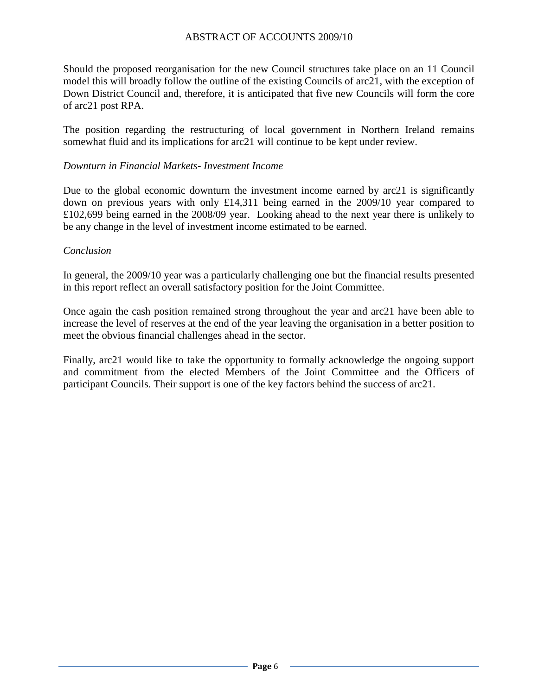Should the proposed reorganisation for the new Council structures take place on an 11 Council model this will broadly follow the outline of the existing Councils of arc21, with the exception of Down District Council and, therefore, it is anticipated that five new Councils will form the core of arc21 post RPA.

The position regarding the restructuring of local government in Northern Ireland remains somewhat fluid and its implications for arc21 will continue to be kept under review.

#### *Downturn in Financial Markets- Investment Income*

Due to the global economic downturn the investment income earned by arc21 is significantly down on previous years with only £14,311 being earned in the 2009/10 year compared to £102,699 being earned in the 2008/09 year. Looking ahead to the next year there is unlikely to be any change in the level of investment income estimated to be earned.

#### *Conclusion*

In general, the 2009/10 year was a particularly challenging one but the financial results presented in this report reflect an overall satisfactory position for the Joint Committee.

Once again the cash position remained strong throughout the year and arc21 have been able to increase the level of reserves at the end of the year leaving the organisation in a better position to meet the obvious financial challenges ahead in the sector.

Finally, arc21 would like to take the opportunity to formally acknowledge the ongoing support and commitment from the elected Members of the Joint Committee and the Officers of participant Councils. Their support is one of the key factors behind the success of arc21.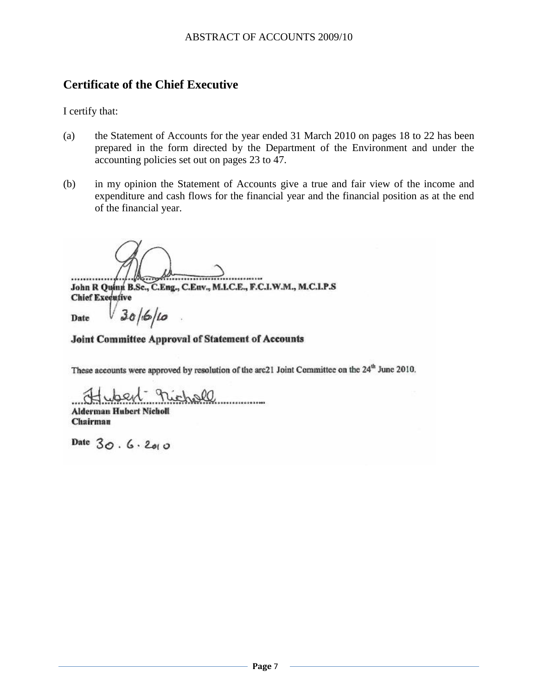# **Certificate of the Chief Executive**

I certify that:

- (a) the Statement of Accounts for the year ended 31 March 2010 on pages 18 to 22 has been prepared in the form directed by the Department of the Environment and under the accounting policies set out on pages 23 to 47.
- (b) in my opinion the Statement of Accounts give a true and fair view of the income and expenditure and cash flows for the financial year and the financial position as at the end of the financial year.

.........

٠. John R Quinn B.Sc., C.Eng., C.Euv., M.L.C.E., F.C.I.W.M., M.C.I.P.S **Chief Executive** 

Date

#### Joint Committee Approval of Statement of Accounts

These accounts were approved by resolution of the arc21 Joint Committee on the 24<sup>th</sup> June 2010.

nichall **Alderman Hubert Nicholl** 

 $30/6/10$ 

Chairman

Date  $30.6.200$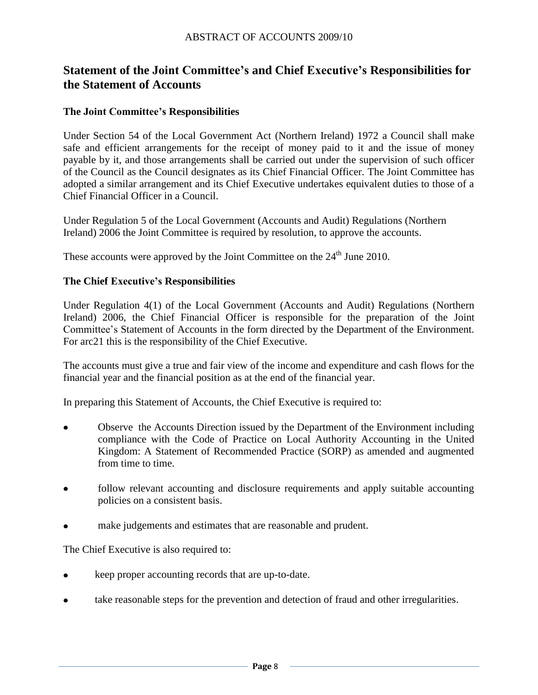# **Statement of the Joint Committee's and Chief Executive's Responsibilities for the Statement of Accounts**

#### **The Joint Committee's Responsibilities**

Under Section 54 of the Local Government Act (Northern Ireland) 1972 a Council shall make safe and efficient arrangements for the receipt of money paid to it and the issue of money payable by it, and those arrangements shall be carried out under the supervision of such officer of the Council as the Council designates as its Chief Financial Officer. The Joint Committee has adopted a similar arrangement and its Chief Executive undertakes equivalent duties to those of a Chief Financial Officer in a Council.

Under Regulation 5 of the Local Government (Accounts and Audit) Regulations (Northern Ireland) 2006 the Joint Committee is required by resolution, to approve the accounts.

These accounts were approved by the Joint Committee on the  $24<sup>th</sup>$  June 2010.

#### **The Chief Executive's Responsibilities**

Under Regulation 4(1) of the Local Government (Accounts and Audit) Regulations (Northern Ireland) 2006, the Chief Financial Officer is responsible for the preparation of the Joint Committee's Statement of Accounts in the form directed by the Department of the Environment. For arc21 this is the responsibility of the Chief Executive.

The accounts must give a true and fair view of the income and expenditure and cash flows for the financial year and the financial position as at the end of the financial year.

In preparing this Statement of Accounts, the Chief Executive is required to:

- Observe the Accounts Direction issued by the Department of the Environment including compliance with the Code of Practice on Local Authority Accounting in the United Kingdom: A Statement of Recommended Practice (SORP) as amended and augmented from time to time.
- follow relevant accounting and disclosure requirements and apply suitable accounting policies on a consistent basis.
- make judgements and estimates that are reasonable and prudent.

The Chief Executive is also required to:

- keep proper accounting records that are up-to-date.
- take reasonable steps for the prevention and detection of fraud and other irregularities. $\bullet$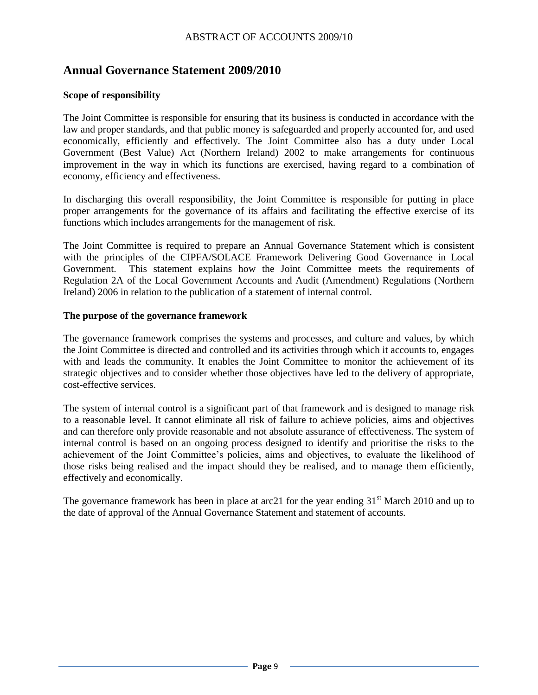# **Annual Governance Statement 2009/2010**

#### **Scope of responsibility**

The Joint Committee is responsible for ensuring that its business is conducted in accordance with the law and proper standards, and that public money is safeguarded and properly accounted for, and used economically, efficiently and effectively. The Joint Committee also has a duty under Local Government (Best Value) Act (Northern Ireland) 2002 to make arrangements for continuous improvement in the way in which its functions are exercised, having regard to a combination of economy, efficiency and effectiveness.

In discharging this overall responsibility, the Joint Committee is responsible for putting in place proper arrangements for the governance of its affairs and facilitating the effective exercise of its functions which includes arrangements for the management of risk.

The Joint Committee is required to prepare an Annual Governance Statement which is consistent with the principles of the CIPFA/SOLACE Framework Delivering Good Governance in Local Government. This statement explains how the Joint Committee meets the requirements of Regulation 2A of the Local Government Accounts and Audit (Amendment) Regulations (Northern Ireland) 2006 in relation to the publication of a statement of internal control.

#### **The purpose of the governance framework**

The governance framework comprises the systems and processes, and culture and values, by which the Joint Committee is directed and controlled and its activities through which it accounts to, engages with and leads the community. It enables the Joint Committee to monitor the achievement of its strategic objectives and to consider whether those objectives have led to the delivery of appropriate, cost-effective services.

The system of internal control is a significant part of that framework and is designed to manage risk to a reasonable level. It cannot eliminate all risk of failure to achieve policies, aims and objectives and can therefore only provide reasonable and not absolute assurance of effectiveness. The system of internal control is based on an ongoing process designed to identify and prioritise the risks to the achievement of the Joint Committee's policies, aims and objectives, to evaluate the likelihood of those risks being realised and the impact should they be realised, and to manage them efficiently, effectively and economically.

The governance framework has been in place at arc21 for the year ending  $31<sup>st</sup>$  March 2010 and up to the date of approval of the Annual Governance Statement and statement of accounts.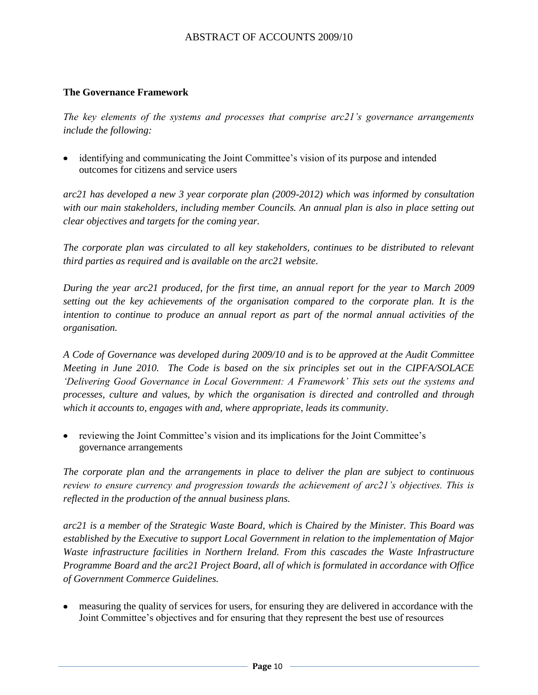#### **The Governance Framework**

*The key elements of the systems and processes that comprise arc21"s governance arrangements include the following:*

identifying and communicating the Joint Committee's vision of its purpose and intended outcomes for citizens and service users

*arc21 has developed a new 3 year corporate plan (2009-2012) which was informed by consultation with our main stakeholders, including member Councils. An annual plan is also in place setting out clear objectives and targets for the coming year.* 

*The corporate plan was circulated to all key stakeholders, continues to be distributed to relevant third parties as required and is available on the arc21 website.*

*During the year arc21 produced, for the first time, an annual report for the year to March 2009 setting out the key achievements of the organisation compared to the corporate plan. It is the intention to continue to produce an annual report as part of the normal annual activities of the organisation.*

*A Code of Governance was developed during 2009/10 and is to be approved at the Audit Committee Meeting in June 2010. The Code is based on the six principles set out in the CIPFA/SOLACE "Delivering Good Governance in Local Government: A Framework" This sets out the systems and processes, culture and values, by which the organisation is directed and controlled and through which it accounts to, engages with and, where appropriate, leads its community.*

reviewing the Joint Committee's vision and its implications for the Joint Committee's governance arrangements

*The corporate plan and the arrangements in place to deliver the plan are subject to continuous review to ensure currency and progression towards the achievement of arc21"s objectives. This is reflected in the production of the annual business plans.* 

*arc21 is a member of the Strategic Waste Board, which is Chaired by the Minister. This Board was established by the Executive to support Local Government in relation to the implementation of Major*  Waste infrastructure facilities in Northern Ireland. From this cascades the Waste Infrastructure *Programme Board and the arc21 Project Board, all of which is formulated in accordance with Office of Government Commerce Guidelines.*

measuring the quality of services for users, for ensuring they are delivered in accordance with the Joint Committee's objectives and for ensuring that they represent the best use of resources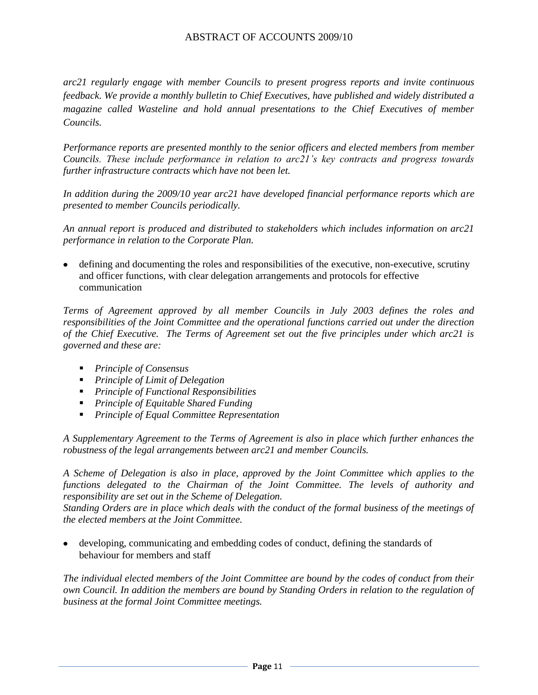*arc21 regularly engage with member Councils to present progress reports and invite continuous feedback. We provide a monthly bulletin to Chief Executives, have published and widely distributed a magazine called Wasteline and hold annual presentations to the Chief Executives of member Councils.* 

*Performance reports are presented monthly to the senior officers and elected members from member Councils. These include performance in relation to arc21"s key contracts and progress towards further infrastructure contracts which have not been let.* 

*In addition during the 2009/10 year arc21 have developed financial performance reports which are presented to member Councils periodically.*

*An annual report is produced and distributed to stakeholders which includes information on arc21 performance in relation to the Corporate Plan.* 

defining and documenting the roles and responsibilities of the executive, non-executive, scrutiny and officer functions, with clear delegation arrangements and protocols for effective communication

*Terms of Agreement approved by all member Councils in July 2003 defines the roles and responsibilities of the Joint Committee and the operational functions carried out under the direction of the Chief Executive. The Terms of Agreement set out the five principles under which arc21 is governed and these are:*

- *Principle of Consensus*
- *Principle of Limit of Delegation*
- *Principle of Functional Responsibilities*
- *Principle of Equitable Shared Funding*
- *Principle of Equal Committee Representation*

*A Supplementary Agreement to the Terms of Agreement is also in place which further enhances the robustness of the legal arrangements between arc21 and member Councils.*

*A Scheme of Delegation is also in place, approved by the Joint Committee which applies to the functions delegated to the Chairman of the Joint Committee. The levels of authority and responsibility are set out in the Scheme of Delegation.*

*Standing Orders are in place which deals with the conduct of the formal business of the meetings of the elected members at the Joint Committee.*

developing, communicating and embedding codes of conduct, defining the standards of behaviour for members and staff

*The individual elected members of the Joint Committee are bound by the codes of conduct from their own Council. In addition the members are bound by Standing Orders in relation to the regulation of business at the formal Joint Committee meetings.*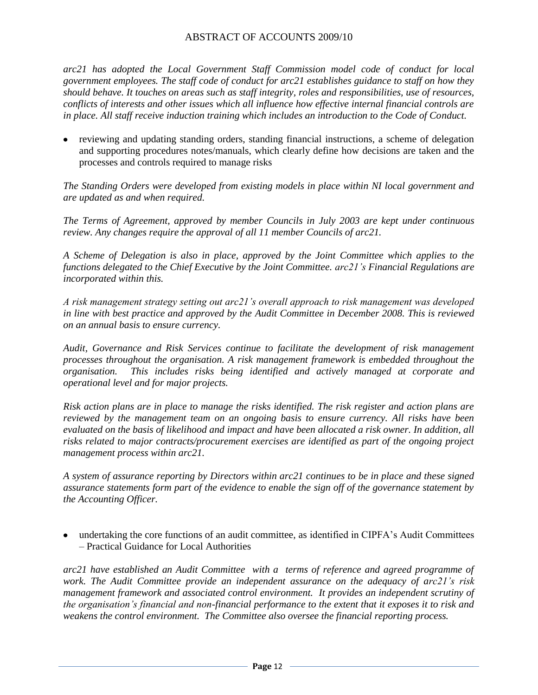*arc21 has adopted the Local Government Staff Commission model code of conduct for local government employees. The staff code of conduct for arc21 establishes guidance to staff on how they should behave. It touches on areas such as staff integrity, roles and responsibilities, use of resources, conflicts of interests and other issues which all influence how effective internal financial controls are in place. All staff receive induction training which includes an introduction to the Code of Conduct.*

reviewing and updating standing orders, standing financial instructions, a scheme of delegation and supporting procedures notes/manuals, which clearly define how decisions are taken and the processes and controls required to manage risks

*The Standing Orders were developed from existing models in place within NI local government and are updated as and when required.* 

*The Terms of Agreement, approved by member Councils in July 2003 are kept under continuous review. Any changes require the approval of all 11 member Councils of arc21.* 

*A Scheme of Delegation is also in place, approved by the Joint Committee which applies to the functions delegated to the Chief Executive by the Joint Committee. arc21"s Financial Regulations are incorporated within this.* 

*A risk management strategy setting out arc21"s overall approach to risk management was developed in line with best practice and approved by the Audit Committee in December 2008. This is reviewed on an annual basis to ensure currency.*

*Audit, Governance and Risk Services continue to facilitate the development of risk management processes throughout the organisation. A risk management framework is embedded throughout the organisation. This includes risks being identified and actively managed at corporate and operational level and for major projects.* 

*Risk action plans are in place to manage the risks identified. The risk register and action plans are reviewed by the management team on an ongoing basis to ensure currency. All risks have been evaluated on the basis of likelihood and impact and have been allocated a risk owner. In addition, all risks related to major contracts/procurement exercises are identified as part of the ongoing project management process within arc21.*

*A system of assurance reporting by Directors within arc21 continues to be in place and these signed assurance statements form part of the evidence to enable the sign off of the governance statement by the Accounting Officer.*

undertaking the core functions of an audit committee, as identified in CIPFA's Audit Committees – Practical Guidance for Local Authorities

*arc21 have established an Audit Committee with a terms of reference and agreed programme of work. The Audit Committee provide an independent assurance on the adequacy of arc21"s risk management framework and associated control environment. It provides an independent scrutiny of the organisation"s financial and non-financial performance to the extent that it exposes it to risk and weakens the control environment. The Committee also oversee the financial reporting process.*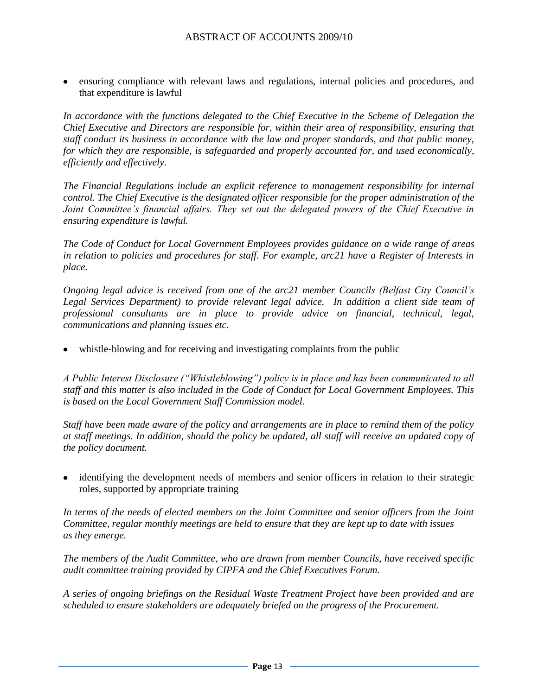ensuring compliance with relevant laws and regulations, internal policies and procedures, and that expenditure is lawful

In accordance with the functions delegated to the Chief Executive in the Scheme of Delegation the *Chief Executive and Directors are responsible for, within their area of responsibility, ensuring that staff conduct its business in accordance with the law and proper standards, and that public money, for which they are responsible, is safeguarded and properly accounted for, and used economically, efficiently and effectively.* 

*The Financial Regulations include an explicit reference to management responsibility for internal control. The Chief Executive is the designated officer responsible for the proper administration of the Joint Committee"s financial affairs. They set out the delegated powers of the Chief Executive in ensuring expenditure is lawful.* 

*The Code of Conduct for Local Government Employees provides guidance on a wide range of areas in relation to policies and procedures for staff. For example, arc21 have a Register of Interests in place.*

*Ongoing legal advice is received from one of the arc21 member Councils (Belfast City Council"s*  Legal Services Department) to provide relevant legal advice. In addition a client side team of *professional consultants are in place to provide advice on financial, technical, legal, communications and planning issues etc.* 

whistle-blowing and for receiving and investigating complaints from the public

*A Public Interest Disclosure ("Whistleblowing") policy is in place and has been communicated to all staff and this matter is also included in the Code of Conduct for Local Government Employees. This is based on the Local Government Staff Commission model.*

*Staff have been made aware of the policy and arrangements are in place to remind them of the policy at staff meetings. In addition, should the policy be updated, all staff will receive an updated copy of the policy document.*

• identifying the development needs of members and senior officers in relation to their strategic roles, supported by appropriate training

*In terms of the needs of elected members on the Joint Committee and senior officers from the Joint Committee, regular monthly meetings are held to ensure that they are kept up to date with issues as they emerge.*

*The members of the Audit Committee, who are drawn from member Councils, have received specific audit committee training provided by CIPFA and the Chief Executives Forum.*

*A series of ongoing briefings on the Residual Waste Treatment Project have been provided and are scheduled to ensure stakeholders are adequately briefed on the progress of the Procurement.*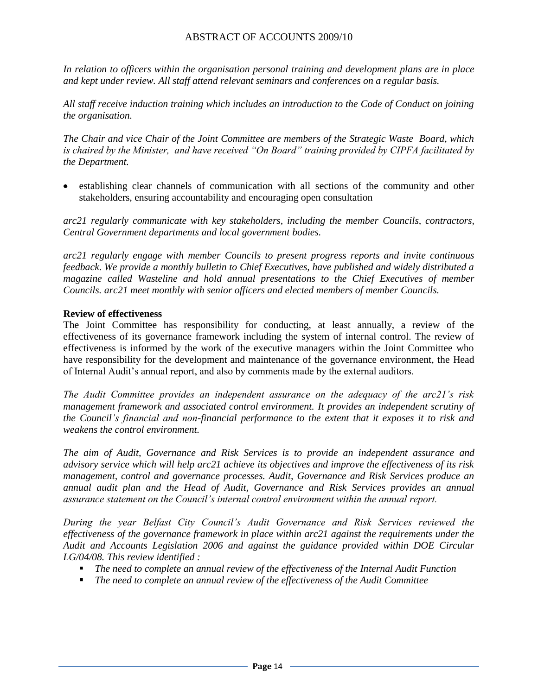*In relation to officers within the organisation personal training and development plans are in place and kept under review. All staff attend relevant seminars and conferences on a regular basis.* 

*All staff receive induction training which includes an introduction to the Code of Conduct on joining the organisation.*

*The Chair and vice Chair of the Joint Committee are members of the Strategic Waste Board, which is chaired by the Minister, and have received "On Board" training provided by CIPFA facilitated by the Department.*

establishing clear channels of communication with all sections of the community and other stakeholders, ensuring accountability and encouraging open consultation

*arc21 regularly communicate with key stakeholders, including the member Councils, contractors, Central Government departments and local government bodies.*

*arc21 regularly engage with member Councils to present progress reports and invite continuous feedback. We provide a monthly bulletin to Chief Executives, have published and widely distributed a magazine called Wasteline and hold annual presentations to the Chief Executives of member Councils. arc21 meet monthly with senior officers and elected members of member Councils.* 

#### **Review of effectiveness**

The Joint Committee has responsibility for conducting, at least annually, a review of the effectiveness of its governance framework including the system of internal control. The review of effectiveness is informed by the work of the executive managers within the Joint Committee who have responsibility for the development and maintenance of the governance environment, the Head of Internal Audit's annual report, and also by comments made by the external auditors.

*The Audit Committee provides an independent assurance on the adequacy of the arc21"s risk management framework and associated control environment. It provides an independent scrutiny of the Council"s financial and non-financial performance to the extent that it exposes it to risk and weakens the control environment.* 

*The aim of Audit, Governance and Risk Services is to provide an independent assurance and advisory service which will help arc21 achieve its objectives and improve the effectiveness of its risk management, control and governance processes. Audit, Governance and Risk Services produce an annual audit plan and the Head of Audit, Governance and Risk Services provides an annual assurance statement on the Council"s internal control environment within the annual report.* 

*During the year Belfast City Council"s Audit Governance and Risk Services reviewed the effectiveness of the governance framework in place within arc21 against the requirements under the Audit and Accounts Legislation 2006 and against the guidance provided within DOE Circular LG/04/08. This review identified :*

- *The need to complete an annual review of the effectiveness of the Internal Audit Function*
- *The need to complete an annual review of the effectiveness of the Audit Committee*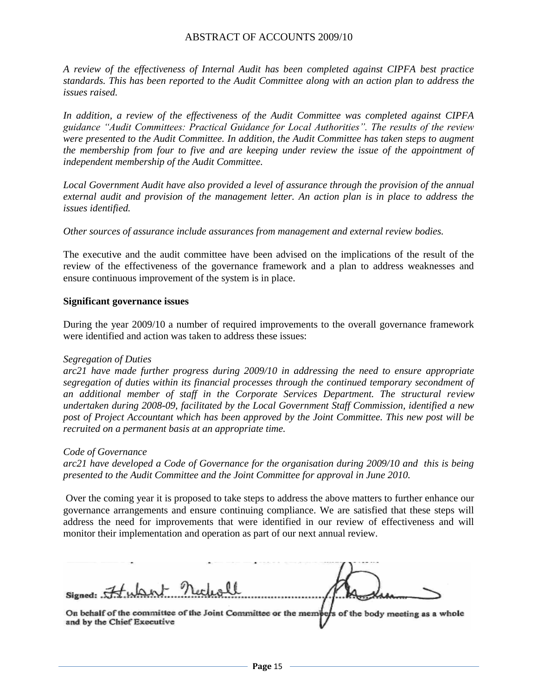*A review of the effectiveness of Internal Audit has been completed against CIPFA best practice standards. This has been reported to the Audit Committee along with an action plan to address the issues raised.*

*In addition, a review of the effectiveness of the Audit Committee was completed against CIPFA guidance "Audit Committees: Practical Guidance for Local Authorities". The results of the review were presented to the Audit Committee. In addition, the Audit Committee has taken steps to augment the membership from four to five and are keeping under review the issue of the appointment of independent membership of the Audit Committee.*

*Local Government Audit have also provided a level of assurance through the provision of the annual external audit and provision of the management letter. An action plan is in place to address the issues identified.*

*Other sources of assurance include assurances from management and external review bodies.*

The executive and the audit committee have been advised on the implications of the result of the review of the effectiveness of the governance framework and a plan to address weaknesses and ensure continuous improvement of the system is in place.

#### **Significant governance issues**

During the year 2009/10 a number of required improvements to the overall governance framework were identified and action was taken to address these issues:

#### *Segregation of Duties*

*arc21 have made further progress during 2009/10 in addressing the need to ensure appropriate segregation of duties within its financial processes through the continued temporary secondment of an additional member of staff in the Corporate Services Department. The structural review undertaken during 2008-09, facilitated by the Local Government Staff Commission, identified a new post of Project Accountant which has been approved by the Joint Committee. This new post will be recruited on a permanent basis at an appropriate time.* 

#### *Code of Governance*

*arc21 have developed a Code of Governance for the organisation during 2009/10 and this is being presented to the Audit Committee and the Joint Committee for approval in June 2010.* 

Over the coming year it is proposed to take steps to address the above matters to further enhance our governance arrangements and ensure continuing compliance. We are satisfied that these steps will address the need for improvements that were identified in our review of effectiveness and will monitor their implementation and operation as part of our next annual review.

V)

On behalf of the committee of the Joint Committee or the members of the body meeting as a whole and by the Chief Executive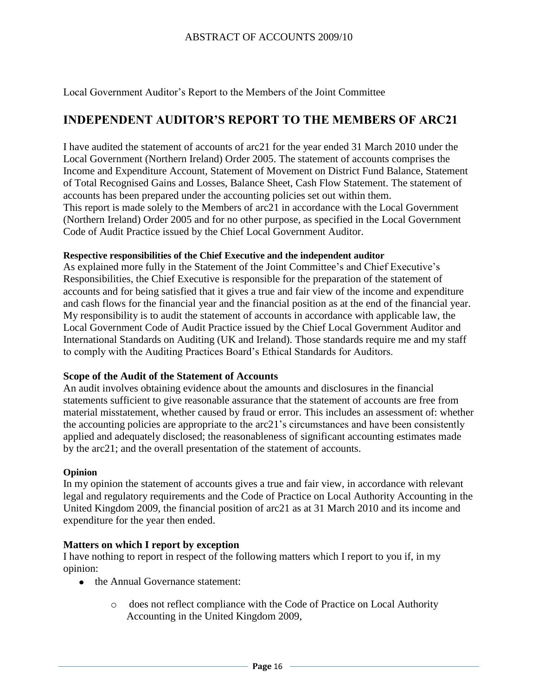Local Government Auditor's Report to the Members of the Joint Committee

# **INDEPENDENT AUDITOR'S REPORT TO THE MEMBERS OF ARC21**

I have audited the statement of accounts of arc21 for the year ended 31 March 2010 under the Local Government (Northern Ireland) Order 2005. The statement of accounts comprises the Income and Expenditure Account, Statement of Movement on District Fund Balance, Statement of Total Recognised Gains and Losses, Balance Sheet, Cash Flow Statement. The statement of accounts has been prepared under the accounting policies set out within them. This report is made solely to the Members of arc21 in accordance with the Local Government (Northern Ireland) Order 2005 and for no other purpose, as specified in the Local Government Code of Audit Practice issued by the Chief Local Government Auditor.

#### **Respective responsibilities of the Chief Executive and the independent auditor**

As explained more fully in the Statement of the Joint Committee's and Chief Executive's Responsibilities, the Chief Executive is responsible for the preparation of the statement of accounts and for being satisfied that it gives a true and fair view of the income and expenditure and cash flows for the financial year and the financial position as at the end of the financial year. My responsibility is to audit the statement of accounts in accordance with applicable law, the Local Government Code of Audit Practice issued by the Chief Local Government Auditor and International Standards on Auditing (UK and Ireland). Those standards require me and my staff to comply with the Auditing Practices Board's Ethical Standards for Auditors.

#### **Scope of the Audit of the Statement of Accounts**

An audit involves obtaining evidence about the amounts and disclosures in the financial statements sufficient to give reasonable assurance that the statement of accounts are free from material misstatement, whether caused by fraud or error. This includes an assessment of: whether the accounting policies are appropriate to the arc21's circumstances and have been consistently applied and adequately disclosed; the reasonableness of significant accounting estimates made by the arc21; and the overall presentation of the statement of accounts.

#### **Opinion**

In my opinion the statement of accounts gives a true and fair view, in accordance with relevant legal and regulatory requirements and the Code of Practice on Local Authority Accounting in the United Kingdom 2009, the financial position of arc21 as at 31 March 2010 and its income and expenditure for the year then ended.

#### **Matters on which I report by exception**

I have nothing to report in respect of the following matters which I report to you if, in my opinion:

- the Annual Governance statement:
	- o does not reflect compliance with the Code of Practice on Local Authority Accounting in the United Kingdom 2009,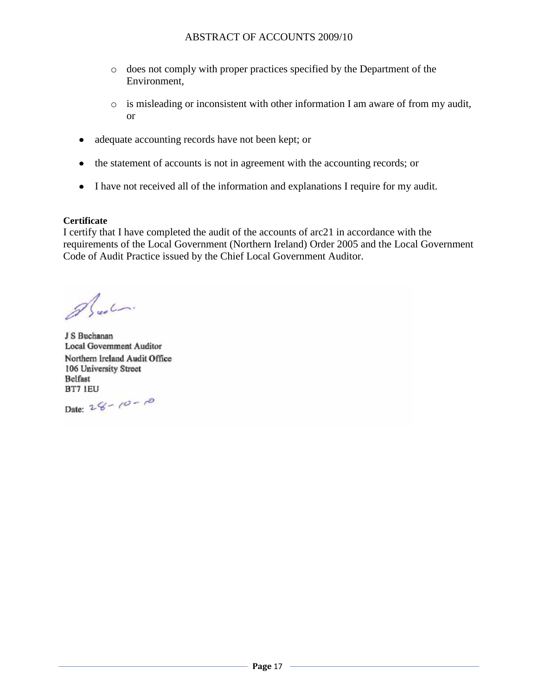- o does not comply with proper practices specified by the Department of the Environment,
- o is misleading or inconsistent with other information I am aware of from my audit, or
- adequate accounting records have not been kept; or
- the statement of accounts is not in agreement with the accounting records; or
- I have not received all of the information and explanations I require for my audit.

#### **Certificate**

I certify that I have completed the audit of the accounts of arc21 in accordance with the requirements of the Local Government (Northern Ireland) Order 2005 and the Local Government Code of Audit Practice issued by the Chief Local Government Auditor.

Alustri

J S Buchanan **Local Government Auditor** Northern Ireland Audit Office 106 University Street Belfast BT7 IEU

Date:  $26 - 10 - 10$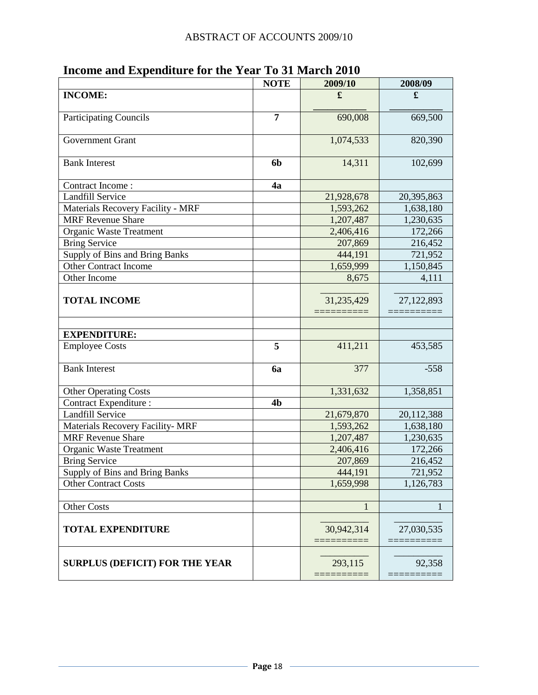|                                         | <b>NOTE</b>    | 2009/10            | 2008/09    |
|-----------------------------------------|----------------|--------------------|------------|
| <b>INCOME:</b>                          |                | £                  | £          |
| <b>Participating Councils</b>           | $\overline{7}$ | 690,008            | 669,500    |
| <b>Government Grant</b>                 |                | 1,074,533          | 820,390    |
| <b>Bank Interest</b>                    | 6b             | 14,311             | 102,699    |
| Contract Income:                        | 4a             |                    |            |
| <b>Landfill Service</b>                 |                | 21,928,678         | 20,395,863 |
| Materials Recovery Facility - MRF       |                | 1,593,262          | 1,638,180  |
| <b>MRF</b> Revenue Share                |                | 1,207,487          | 1,230,635  |
| Organic Waste Treatment                 |                | 2,406,416          | 172,266    |
| <b>Bring Service</b>                    |                | 207,869            | 216,452    |
| Supply of Bins and Bring Banks          |                | 444,191            | 721,952    |
| Other Contract Income                   |                | 1,659,999          | 1,150,845  |
| Other Income                            |                | 8,675              | 4,111      |
| <b>TOTAL INCOME</b>                     |                | 31,235,429         | 27,122,893 |
|                                         |                |                    |            |
|                                         |                |                    |            |
| <b>EXPENDITURE:</b>                     |                |                    |            |
| <b>Employee Costs</b>                   | 5              | 411,211            | 453,585    |
| <b>Bank Interest</b>                    | 6a             | 377                | $-558$     |
| <b>Other Operating Costs</b>            |                | 1,331,632          | 1,358,851  |
| <b>Contract Expenditure:</b>            | 4 <sub>b</sub> |                    |            |
| <b>Landfill Service</b>                 |                | 21,679,870         | 20,112,388 |
| <b>Materials Recovery Facility- MRF</b> |                | 1,593,262          | 1,638,180  |
| <b>MRF Revenue Share</b>                |                | 1,207,487          | 1,230,635  |
| <b>Organic Waste Treatment</b>          |                | 2,406,416          | 172,266    |
| <b>Bring Service</b>                    |                | 207,869            | 216,452    |
| <b>Supply of Bins and Bring Banks</b>   |                | 444,191            | 721,952    |
| <b>Other Contract Costs</b>             |                | 1,659,998          | 1,126,783  |
|                                         |                |                    |            |
| Other Costs                             |                | 1                  | 1          |
| <b>TOTAL EXPENDITURE</b>                |                | 30,942,314         | 27,030,535 |
| <b>SURPLUS (DEFICIT) FOR THE YEAR</b>   |                | 293,115<br>======= | 92,358     |
|                                         |                |                    |            |

# **Income and Expenditure for the Year To 31 March 2010**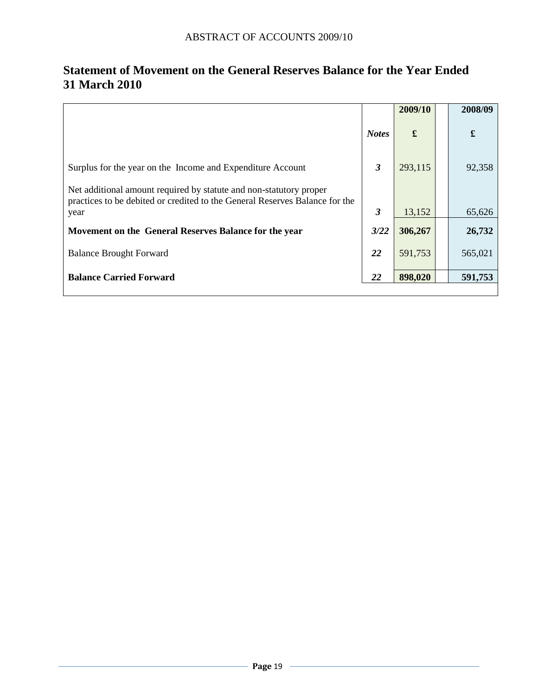|                                                                                                                                                   |              | 2009/10 | 2008/09     |
|---------------------------------------------------------------------------------------------------------------------------------------------------|--------------|---------|-------------|
|                                                                                                                                                   | <b>Notes</b> | £       | $\mathbf f$ |
| Surplus for the year on the Income and Expenditure Account                                                                                        | 3            | 293,115 | 92,358      |
| Net additional amount required by statute and non-statutory proper<br>practices to be debited or credited to the General Reserves Balance for the |              |         |             |
| year                                                                                                                                              | 3            | 13,152  | 65,626      |
| Movement on the General Reserves Balance for the year                                                                                             | 3/22         | 306,267 | 26,732      |
| <b>Balance Brought Forward</b>                                                                                                                    | 22           | 591,753 | 565,021     |
| <b>Balance Carried Forward</b>                                                                                                                    | 22           | 898,020 | 591,753     |

# **Statement of Movement on the General Reserves Balance for the Year Ended 31 March 2010**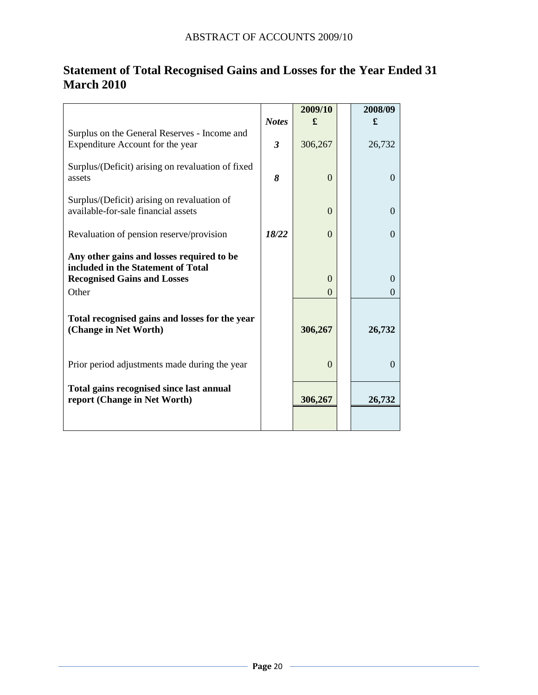|                                                                                    |                         | 2009/10  | 2008/09  |
|------------------------------------------------------------------------------------|-------------------------|----------|----------|
|                                                                                    | <b>Notes</b>            | £        | £        |
| Surplus on the General Reserves - Income and<br>Expenditure Account for the year   | $\overline{\mathbf{3}}$ | 306,267  | 26,732   |
| Surplus/(Deficit) arising on revaluation of fixed<br>assets                        | 8                       | $\Omega$ | $\Omega$ |
| Surplus/(Deficit) arising on revaluation of<br>available-for-sale financial assets |                         | $\Omega$ | $\Omega$ |
| Revaluation of pension reserve/provision                                           | 18/22                   | $\Omega$ | $\Omega$ |
| Any other gains and losses required to be<br>included in the Statement of Total    |                         |          |          |
| <b>Recognised Gains and Losses</b>                                                 |                         | $\Omega$ | $\Omega$ |
| Other                                                                              |                         | 0        | $\Omega$ |
| Total recognised gains and losses for the year<br>(Change in Net Worth)            |                         | 306,267  | 26,732   |
| Prior period adjustments made during the year                                      |                         | $\Omega$ | $\Omega$ |
| Total gains recognised since last annual<br>report (Change in Net Worth)           |                         | 306,267  | 26,732   |
|                                                                                    |                         |          |          |

# **Statement of Total Recognised Gains and Losses for the Year Ended 31 March 2010**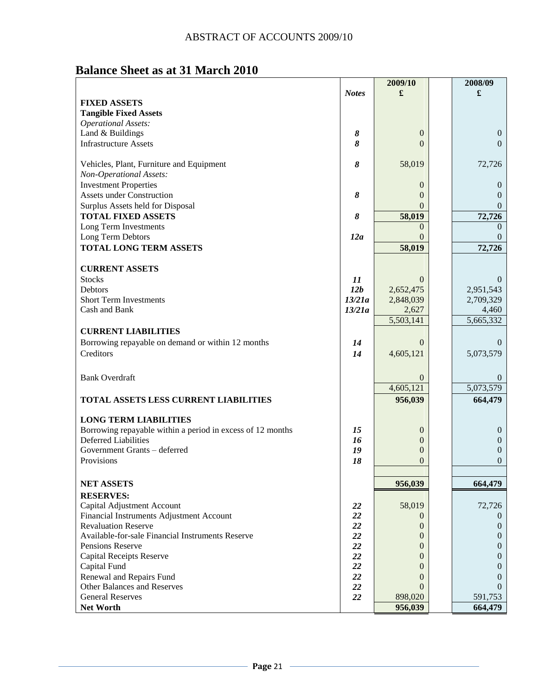# **Balance Sheet as at 31 March 2010**

|                                                                                            |              | 2009/10                     | 2008/09               |
|--------------------------------------------------------------------------------------------|--------------|-----------------------------|-----------------------|
|                                                                                            | <b>Notes</b> | £                           | £                     |
| <b>FIXED ASSETS</b>                                                                        |              |                             |                       |
| <b>Tangible Fixed Assets</b>                                                               |              |                             |                       |
| <b>Operational Assets:</b>                                                                 |              |                             |                       |
| Land & Buildings                                                                           | 8            | $\theta$                    | $\mathbf{0}$          |
| <b>Infrastructure Assets</b>                                                               | 8            | $\Omega$                    | $\Omega$              |
|                                                                                            |              |                             |                       |
| Vehicles, Plant, Furniture and Equipment                                                   | 8            | 58,019                      | 72,726                |
| Non-Operational Assets:                                                                    |              |                             |                       |
| <b>Investment Properties</b>                                                               |              | 0                           | $\theta$              |
| <b>Assets under Construction</b>                                                           | 8            | $\Omega$                    | $\Omega$              |
| Surplus Assets held for Disposal                                                           |              | $\Omega$                    | $\theta$              |
| <b>TOTAL FIXED ASSETS</b>                                                                  | 8            | 58,019                      | 72,726                |
| Long Term Investments                                                                      |              | $\Omega$                    | $\Omega$              |
| Long Term Debtors                                                                          | 12a          | $\Omega$                    | $\Omega$              |
| <b>TOTAL LONG TERM ASSETS</b>                                                              |              | 58,019                      | 72,726                |
|                                                                                            |              |                             |                       |
| <b>CURRENT ASSETS</b>                                                                      |              |                             |                       |
| <b>Stocks</b>                                                                              | 11           | $\Omega$                    | $\Omega$              |
| Debtors                                                                                    | 12b          | 2,652,475                   | 2,951,543             |
| <b>Short Term Investments</b>                                                              | 13/21a       | 2,848,039                   | 2,709,329             |
| Cash and Bank                                                                              | 13/21a       | 2,627                       | 4,460                 |
|                                                                                            |              | 5,503,141                   | 5,665,332             |
| <b>CURRENT LIABILITIES</b>                                                                 |              |                             |                       |
| Borrowing repayable on demand or within 12 months                                          | 14           | $\Omega$                    | $\theta$              |
| Creditors                                                                                  | 14           | 4,605,121                   | 5,073,579             |
|                                                                                            |              |                             |                       |
|                                                                                            |              |                             |                       |
| <b>Bank Overdraft</b>                                                                      |              | $\overline{0}$<br>4,605,121 | $\theta$<br>5,073,579 |
|                                                                                            |              |                             |                       |
| TOTAL ASSETS LESS CURRENT LIABILITIES                                                      |              | 956,039                     | 664,479               |
|                                                                                            |              |                             |                       |
| <b>LONG TERM LIABILITIES</b><br>Borrowing repayable within a period in excess of 12 months | 15           |                             | $\mathbf{0}$          |
| <b>Deferred Liabilities</b>                                                                | 16           | $\boldsymbol{0}$<br>0       | $\boldsymbol{0}$      |
| Government Grants - deferred                                                               | 19           | 0                           | $\mathbf{0}$          |
| Provisions                                                                                 | 18           | 0                           | $\mathbf{0}$          |
|                                                                                            |              |                             |                       |
|                                                                                            |              |                             |                       |
| <b>NET ASSETS</b>                                                                          |              | 956,039                     | 664,479               |
| <b>RESERVES:</b>                                                                           |              |                             |                       |
| Capital Adjustment Account                                                                 | <b>22</b>    | 58,019                      | 72,726                |
| Financial Instruments Adjustment Account                                                   | 22           | $\theta$                    | $\theta$              |
| <b>Revaluation Reserve</b>                                                                 | 22           | $\mathbf{0}$                | $\theta$              |
| Available-for-sale Financial Instruments Reserve                                           | 22           | 0                           | $\theta$              |
| Pensions Reserve                                                                           | 22           | 0                           | $\mathbf{0}$          |
| <b>Capital Receipts Reserve</b>                                                            | 22           | 0                           | $\theta$              |
| Capital Fund                                                                               | 22           | 0                           | $\theta$              |
| Renewal and Repairs Fund                                                                   | 22           | $\Omega$                    | $\Omega$              |
| Other Balances and Reserves                                                                | 22           | $\Omega$                    | $\Omega$              |
| <b>General Reserves</b>                                                                    | 22           | 898,020                     | 591,753               |
| Net Worth                                                                                  |              | 956,039                     | 664,479               |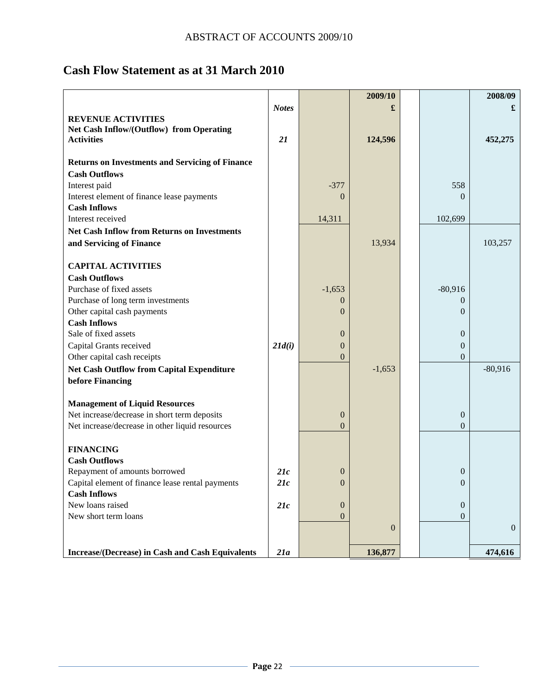# **Cash Flow Statement as at 31 March 2010**

|                                                        |              |                  | 2009/10        |                  | 2008/09      |
|--------------------------------------------------------|--------------|------------------|----------------|------------------|--------------|
|                                                        | <b>Notes</b> |                  |                |                  | £            |
| <b>REVENUE ACTIVITIES</b>                              |              |                  |                |                  |              |
| Net Cash Inflow/(Outflow) from Operating               |              |                  |                |                  |              |
| <b>Activities</b>                                      | 21           |                  | 124,596        |                  | 452,275      |
|                                                        |              |                  |                |                  |              |
| <b>Returns on Investments and Servicing of Finance</b> |              |                  |                |                  |              |
| <b>Cash Outflows</b>                                   |              |                  |                |                  |              |
| Interest paid                                          |              | $-377$           |                | 558              |              |
| Interest element of finance lease payments             |              | $\Omega$         |                | $\Omega$         |              |
| <b>Cash Inflows</b>                                    |              |                  |                |                  |              |
| Interest received                                      |              | 14,311           |                | 102,699          |              |
| <b>Net Cash Inflow from Returns on Investments</b>     |              |                  |                |                  |              |
| and Servicing of Finance                               |              |                  | 13,934         |                  | 103,257      |
|                                                        |              |                  |                |                  |              |
| <b>CAPITAL ACTIVITIES</b>                              |              |                  |                |                  |              |
| <b>Cash Outflows</b>                                   |              |                  |                |                  |              |
| Purchase of fixed assets                               |              | $-1,653$         |                | $-80,916$        |              |
| Purchase of long term investments                      |              | $\overline{0}$   |                | $\theta$         |              |
| Other capital cash payments                            |              | $\theta$         |                | $\Omega$         |              |
| <b>Cash Inflows</b>                                    |              |                  |                |                  |              |
| Sale of fixed assets                                   |              | $\theta$         |                | $\overline{0}$   |              |
| Capital Grants received                                | 21d(i)       | $\overline{0}$   |                | $\overline{0}$   |              |
| Other capital cash receipts                            |              | $\overline{0}$   |                | $\overline{0}$   |              |
| <b>Net Cash Outflow from Capital Expenditure</b>       |              |                  | $-1,653$       |                  | $-80,916$    |
| before Financing                                       |              |                  |                |                  |              |
|                                                        |              |                  |                |                  |              |
| <b>Management of Liquid Resources</b>                  |              |                  |                |                  |              |
| Net increase/decrease in short term deposits           |              | $\boldsymbol{0}$ |                | $\boldsymbol{0}$ |              |
| Net increase/decrease in other liquid resources        |              | $\overline{0}$   |                | $\theta$         |              |
| <b>FINANCING</b>                                       |              |                  |                |                  |              |
| <b>Cash Outflows</b>                                   |              |                  |                |                  |              |
| Repayment of amounts borrowed                          | 21c          | $\overline{0}$   |                | $\boldsymbol{0}$ |              |
| Capital element of finance lease rental payments       | 21c          | $\boldsymbol{0}$ |                | $\boldsymbol{0}$ |              |
| <b>Cash Inflows</b>                                    |              |                  |                |                  |              |
| New loans raised                                       | 21c          | $\boldsymbol{0}$ |                | $\mathbf{0}$     |              |
| New short term loans                                   |              | $\overline{0}$   |                | $\overline{0}$   |              |
|                                                        |              |                  | $\overline{0}$ |                  | $\mathbf{0}$ |
|                                                        |              |                  |                |                  |              |
| Increase/(Decrease) in Cash and Cash Equivalents       | 21a          |                  | 136,877        |                  | 474,616      |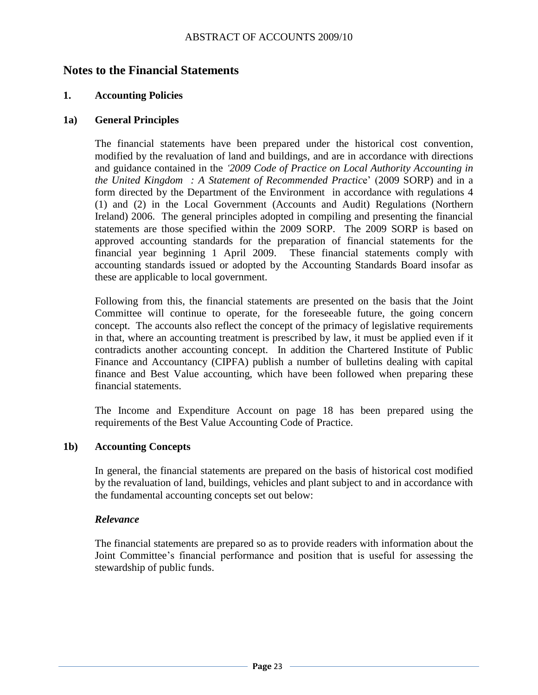### **Notes to the Financial Statements**

#### **1. Accounting Policies**

#### **1a) General Principles**

The financial statements have been prepared under the historical cost convention, modified by the revaluation of land and buildings, and are in accordance with directions and guidance contained in the *"2009 Code of Practice on Local Authority Accounting in the United Kingdom : A Statement of Recommended Practic*e' (2009 SORP) and in a form directed by the Department of the Environment in accordance with regulations 4 (1) and (2) in the Local Government (Accounts and Audit) Regulations (Northern Ireland) 2006. The general principles adopted in compiling and presenting the financial statements are those specified within the 2009 SORP. The 2009 SORP is based on approved accounting standards for the preparation of financial statements for the financial year beginning 1 April 2009. These financial statements comply with accounting standards issued or adopted by the Accounting Standards Board insofar as these are applicable to local government.

Following from this, the financial statements are presented on the basis that the Joint Committee will continue to operate, for the foreseeable future, the going concern concept. The accounts also reflect the concept of the primacy of legislative requirements in that, where an accounting treatment is prescribed by law, it must be applied even if it contradicts another accounting concept. In addition the Chartered Institute of Public Finance and Accountancy (CIPFA) publish a number of bulletins dealing with capital finance and Best Value accounting, which have been followed when preparing these financial statements.

The Income and Expenditure Account on page 18 has been prepared using the requirements of the Best Value Accounting Code of Practice.

#### **1b) Accounting Concepts**

In general, the financial statements are prepared on the basis of historical cost modified by the revaluation of land, buildings, vehicles and plant subject to and in accordance with the fundamental accounting concepts set out below:

#### *Relevance*

The financial statements are prepared so as to provide readers with information about the Joint Committee's financial performance and position that is useful for assessing the stewardship of public funds.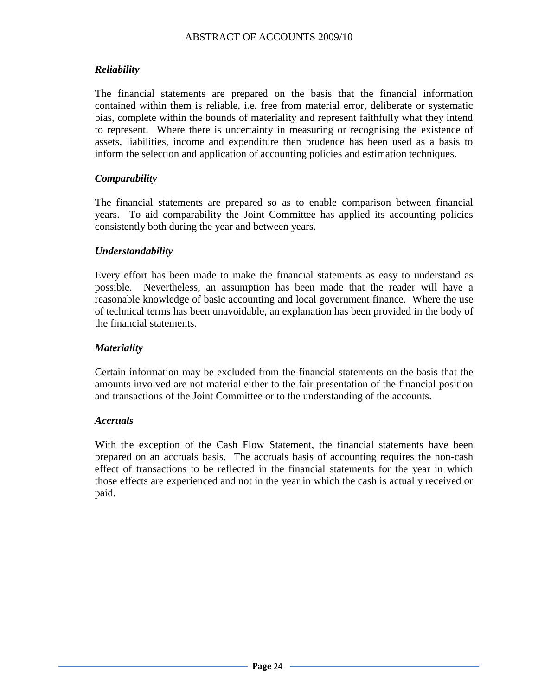### *Reliability*

The financial statements are prepared on the basis that the financial information contained within them is reliable, i.e. free from material error, deliberate or systematic bias, complete within the bounds of materiality and represent faithfully what they intend to represent. Where there is uncertainty in measuring or recognising the existence of assets, liabilities, income and expenditure then prudence has been used as a basis to inform the selection and application of accounting policies and estimation techniques.

#### *Comparability*

The financial statements are prepared so as to enable comparison between financial years. To aid comparability the Joint Committee has applied its accounting policies consistently both during the year and between years.

#### *Understandability*

Every effort has been made to make the financial statements as easy to understand as possible. Nevertheless, an assumption has been made that the reader will have a reasonable knowledge of basic accounting and local government finance. Where the use of technical terms has been unavoidable, an explanation has been provided in the body of the financial statements.

#### *Materiality*

Certain information may be excluded from the financial statements on the basis that the amounts involved are not material either to the fair presentation of the financial position and transactions of the Joint Committee or to the understanding of the accounts.

#### *Accruals*

With the exception of the Cash Flow Statement, the financial statements have been prepared on an accruals basis. The accruals basis of accounting requires the non-cash effect of transactions to be reflected in the financial statements for the year in which those effects are experienced and not in the year in which the cash is actually received or paid.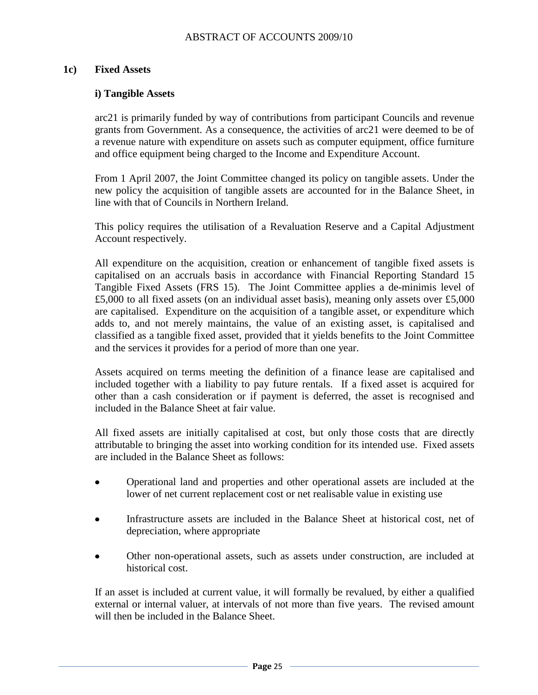#### **1c) Fixed Assets**

#### **i) Tangible Assets**

arc21 is primarily funded by way of contributions from participant Councils and revenue grants from Government. As a consequence, the activities of arc21 were deemed to be of a revenue nature with expenditure on assets such as computer equipment, office furniture and office equipment being charged to the Income and Expenditure Account.

From 1 April 2007, the Joint Committee changed its policy on tangible assets. Under the new policy the acquisition of tangible assets are accounted for in the Balance Sheet, in line with that of Councils in Northern Ireland.

This policy requires the utilisation of a Revaluation Reserve and a Capital Adjustment Account respectively.

All expenditure on the acquisition, creation or enhancement of tangible fixed assets is capitalised on an accruals basis in accordance with Financial Reporting Standard 15 Tangible Fixed Assets (FRS 15). The Joint Committee applies a de-minimis level of £5,000 to all fixed assets (on an individual asset basis), meaning only assets over £5,000 are capitalised. Expenditure on the acquisition of a tangible asset, or expenditure which adds to, and not merely maintains, the value of an existing asset, is capitalised and classified as a tangible fixed asset, provided that it yields benefits to the Joint Committee and the services it provides for a period of more than one year.

Assets acquired on terms meeting the definition of a finance lease are capitalised and included together with a liability to pay future rentals. If a fixed asset is acquired for other than a cash consideration or if payment is deferred, the asset is recognised and included in the Balance Sheet at fair value.

All fixed assets are initially capitalised at cost, but only those costs that are directly attributable to bringing the asset into working condition for its intended use. Fixed assets are included in the Balance Sheet as follows:

- Operational land and properties and other operational assets are included at the lower of net current replacement cost or net realisable value in existing use
- Infrastructure assets are included in the Balance Sheet at historical cost, net of depreciation, where appropriate
- Other non-operational assets, such as assets under construction, are included at historical cost.

If an asset is included at current value, it will formally be revalued, by either a qualified external or internal valuer, at intervals of not more than five years. The revised amount will then be included in the Balance Sheet.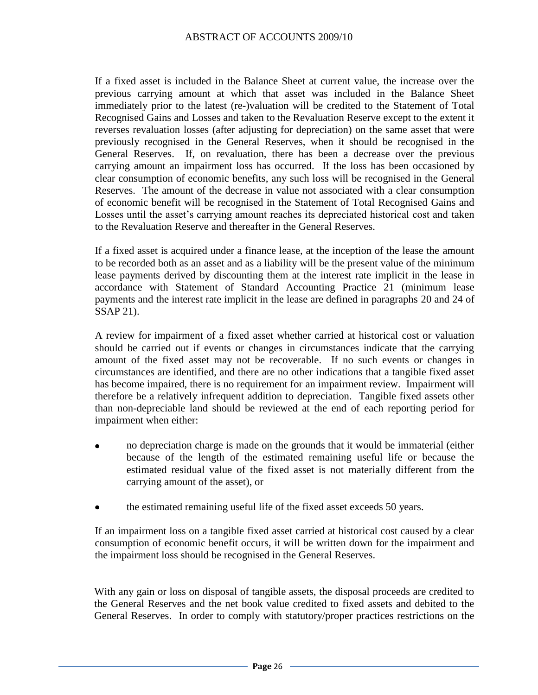If a fixed asset is included in the Balance Sheet at current value, the increase over the previous carrying amount at which that asset was included in the Balance Sheet immediately prior to the latest (re-)valuation will be credited to the Statement of Total Recognised Gains and Losses and taken to the Revaluation Reserve except to the extent it reverses revaluation losses (after adjusting for depreciation) on the same asset that were previously recognised in the General Reserves, when it should be recognised in the General Reserves. If, on revaluation, there has been a decrease over the previous carrying amount an impairment loss has occurred. If the loss has been occasioned by clear consumption of economic benefits, any such loss will be recognised in the General Reserves. The amount of the decrease in value not associated with a clear consumption of economic benefit will be recognised in the Statement of Total Recognised Gains and Losses until the asset's carrying amount reaches its depreciated historical cost and taken to the Revaluation Reserve and thereafter in the General Reserves.

If a fixed asset is acquired under a finance lease, at the inception of the lease the amount to be recorded both as an asset and as a liability will be the present value of the minimum lease payments derived by discounting them at the interest rate implicit in the lease in accordance with Statement of Standard Accounting Practice 21 (minimum lease payments and the interest rate implicit in the lease are defined in paragraphs 20 and 24 of SSAP 21).

A review for impairment of a fixed asset whether carried at historical cost or valuation should be carried out if events or changes in circumstances indicate that the carrying amount of the fixed asset may not be recoverable. If no such events or changes in circumstances are identified, and there are no other indications that a tangible fixed asset has become impaired, there is no requirement for an impairment review. Impairment will therefore be a relatively infrequent addition to depreciation. Tangible fixed assets other than non-depreciable land should be reviewed at the end of each reporting period for impairment when either:

- no depreciation charge is made on the grounds that it would be immaterial (either because of the length of the estimated remaining useful life or because the estimated residual value of the fixed asset is not materially different from the carrying amount of the asset), or
- the estimated remaining useful life of the fixed asset exceeds 50 years.  $\bullet$

If an impairment loss on a tangible fixed asset carried at historical cost caused by a clear consumption of economic benefit occurs, it will be written down for the impairment and the impairment loss should be recognised in the General Reserves.

With any gain or loss on disposal of tangible assets, the disposal proceeds are credited to the General Reserves and the net book value credited to fixed assets and debited to the General Reserves. In order to comply with statutory/proper practices restrictions on the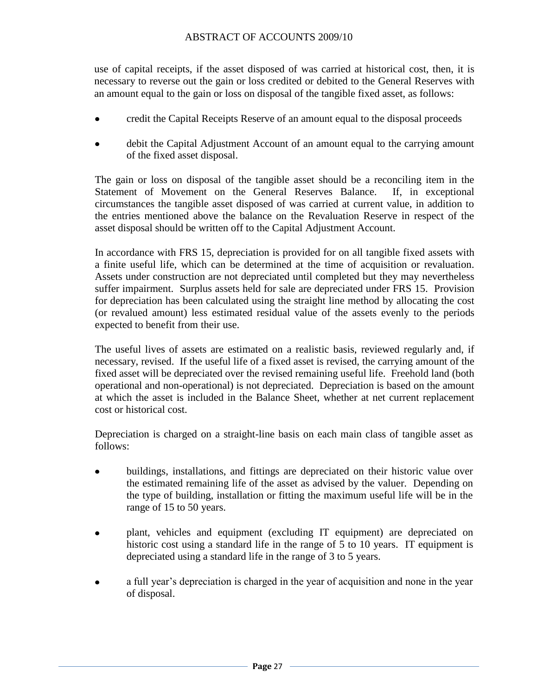use of capital receipts, if the asset disposed of was carried at historical cost, then, it is necessary to reverse out the gain or loss credited or debited to the General Reserves with an amount equal to the gain or loss on disposal of the tangible fixed asset, as follows:

- credit the Capital Receipts Reserve of an amount equal to the disposal proceeds  $\bullet$
- debit the Capital Adjustment Account of an amount equal to the carrying amount of the fixed asset disposal.

The gain or loss on disposal of the tangible asset should be a reconciling item in the Statement of Movement on the General Reserves Balance. If, in exceptional circumstances the tangible asset disposed of was carried at current value, in addition to the entries mentioned above the balance on the Revaluation Reserve in respect of the asset disposal should be written off to the Capital Adjustment Account.

In accordance with FRS 15, depreciation is provided for on all tangible fixed assets with a finite useful life, which can be determined at the time of acquisition or revaluation. Assets under construction are not depreciated until completed but they may nevertheless suffer impairment. Surplus assets held for sale are depreciated under FRS 15. Provision for depreciation has been calculated using the straight line method by allocating the cost (or revalued amount) less estimated residual value of the assets evenly to the periods expected to benefit from their use.

The useful lives of assets are estimated on a realistic basis, reviewed regularly and, if necessary, revised. If the useful life of a fixed asset is revised, the carrying amount of the fixed asset will be depreciated over the revised remaining useful life. Freehold land (both operational and non-operational) is not depreciated. Depreciation is based on the amount at which the asset is included in the Balance Sheet, whether at net current replacement cost or historical cost.

Depreciation is charged on a straight-line basis on each main class of tangible asset as follows:

- buildings, installations, and fittings are depreciated on their historic value over  $\bullet$ the estimated remaining life of the asset as advised by the valuer. Depending on the type of building, installation or fitting the maximum useful life will be in the range of 15 to 50 years.
- plant, vehicles and equipment (excluding IT equipment) are depreciated on historic cost using a standard life in the range of 5 to 10 years. IT equipment is depreciated using a standard life in the range of 3 to 5 years.
- a full year's depreciation is charged in the year of acquisition and none in the year of disposal.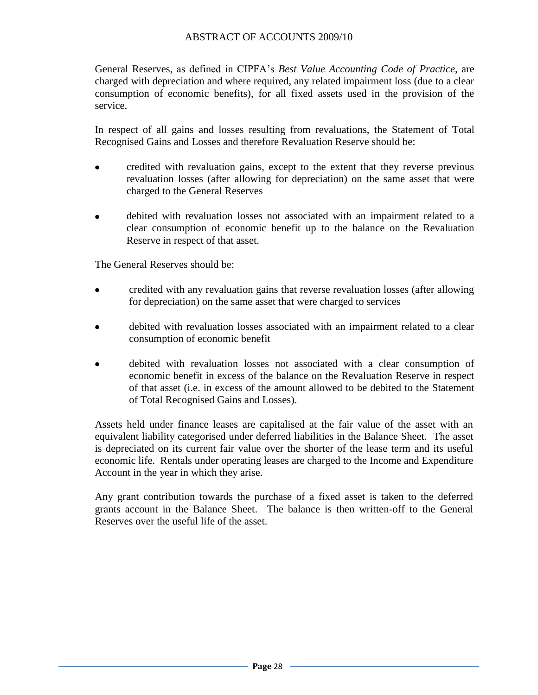General Reserves, as defined in CIPFA's *Best Value Accounting Code of Practice*, are charged with depreciation and where required, any related impairment loss (due to a clear consumption of economic benefits), for all fixed assets used in the provision of the service.

In respect of all gains and losses resulting from revaluations, the Statement of Total Recognised Gains and Losses and therefore Revaluation Reserve should be:

- $\bullet$ credited with revaluation gains, except to the extent that they reverse previous revaluation losses (after allowing for depreciation) on the same asset that were charged to the General Reserves
- debited with revaluation losses not associated with an impairment related to a clear consumption of economic benefit up to the balance on the Revaluation Reserve in respect of that asset.

The General Reserves should be:

- credited with any revaluation gains that reverse revaluation losses (after allowing for depreciation) on the same asset that were charged to services
- debited with revaluation losses associated with an impairment related to a clear consumption of economic benefit
- debited with revaluation losses not associated with a clear consumption of economic benefit in excess of the balance on the Revaluation Reserve in respect of that asset (i.e. in excess of the amount allowed to be debited to the Statement of Total Recognised Gains and Losses).

Assets held under finance leases are capitalised at the fair value of the asset with an equivalent liability categorised under deferred liabilities in the Balance Sheet. The asset is depreciated on its current fair value over the shorter of the lease term and its useful economic life. Rentals under operating leases are charged to the Income and Expenditure Account in the year in which they arise.

Any grant contribution towards the purchase of a fixed asset is taken to the deferred grants account in the Balance Sheet. The balance is then written-off to the General Reserves over the useful life of the asset.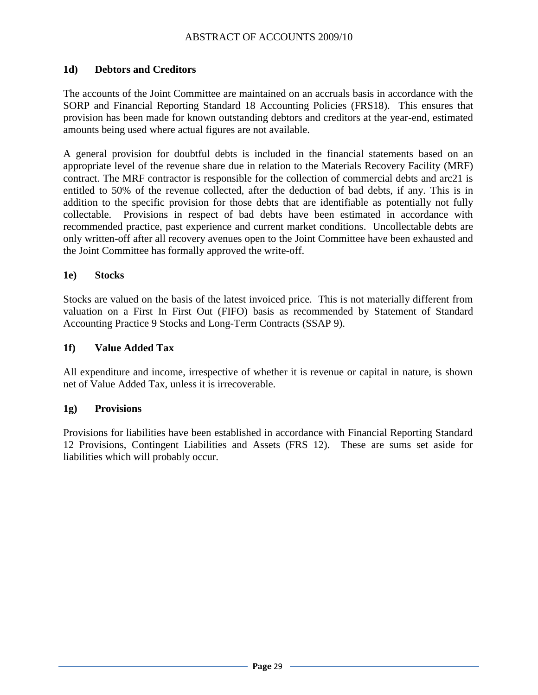#### **1d) Debtors and Creditors**

The accounts of the Joint Committee are maintained on an accruals basis in accordance with the SORP and Financial Reporting Standard 18 Accounting Policies (FRS18). This ensures that provision has been made for known outstanding debtors and creditors at the year-end, estimated amounts being used where actual figures are not available.

A general provision for doubtful debts is included in the financial statements based on an appropriate level of the revenue share due in relation to the Materials Recovery Facility (MRF) contract. The MRF contractor is responsible for the collection of commercial debts and arc21 is entitled to 50% of the revenue collected, after the deduction of bad debts, if any. This is in addition to the specific provision for those debts that are identifiable as potentially not fully collectable. Provisions in respect of bad debts have been estimated in accordance with recommended practice, past experience and current market conditions. Uncollectable debts are only written-off after all recovery avenues open to the Joint Committee have been exhausted and the Joint Committee has formally approved the write-off.

#### **1e) Stocks**

Stocks are valued on the basis of the latest invoiced price. This is not materially different from valuation on a First In First Out (FIFO) basis as recommended by Statement of Standard Accounting Practice 9 Stocks and Long-Term Contracts (SSAP 9).

#### **1f) Value Added Tax**

All expenditure and income, irrespective of whether it is revenue or capital in nature, is shown net of Value Added Tax, unless it is irrecoverable.

#### **1g) Provisions**

Provisions for liabilities have been established in accordance with Financial Reporting Standard 12 Provisions, Contingent Liabilities and Assets (FRS 12). These are sums set aside for liabilities which will probably occur.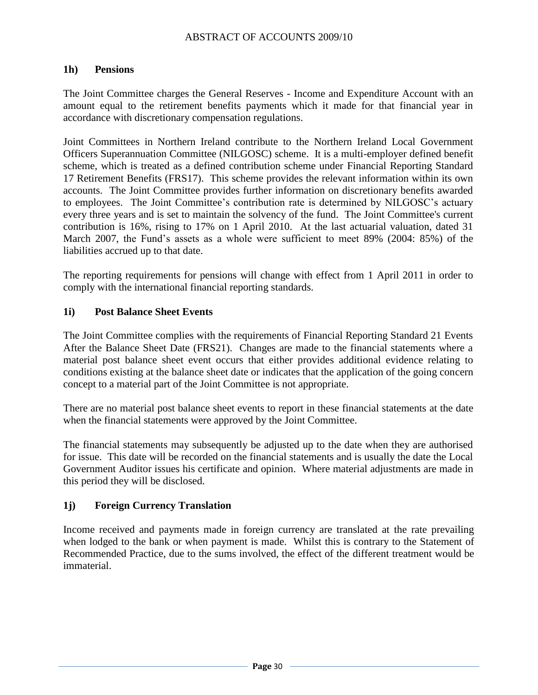#### **1h) Pensions**

The Joint Committee charges the General Reserves - Income and Expenditure Account with an amount equal to the retirement benefits payments which it made for that financial year in accordance with discretionary compensation regulations.

Joint Committees in Northern Ireland contribute to the Northern Ireland Local Government Officers Superannuation Committee (NILGOSC) scheme. It is a multi-employer defined benefit scheme, which is treated as a defined contribution scheme under Financial Reporting Standard 17 Retirement Benefits (FRS17). This scheme provides the relevant information within its own accounts. The Joint Committee provides further information on discretionary benefits awarded to employees. The Joint Committee's contribution rate is determined by NILGOSC's actuary every three years and is set to maintain the solvency of the fund. The Joint Committee's current contribution is 16%, rising to 17% on 1 April 2010. At the last actuarial valuation, dated 31 March 2007, the Fund's assets as a whole were sufficient to meet 89% (2004: 85%) of the liabilities accrued up to that date.

The reporting requirements for pensions will change with effect from 1 April 2011 in order to comply with the international financial reporting standards.

#### **1i) Post Balance Sheet Events**

The Joint Committee complies with the requirements of Financial Reporting Standard 21 Events After the Balance Sheet Date (FRS21). Changes are made to the financial statements where a material post balance sheet event occurs that either provides additional evidence relating to conditions existing at the balance sheet date or indicates that the application of the going concern concept to a material part of the Joint Committee is not appropriate.

There are no material post balance sheet events to report in these financial statements at the date when the financial statements were approved by the Joint Committee.

The financial statements may subsequently be adjusted up to the date when they are authorised for issue. This date will be recorded on the financial statements and is usually the date the Local Government Auditor issues his certificate and opinion. Where material adjustments are made in this period they will be disclosed.

#### **1j) Foreign Currency Translation**

Income received and payments made in foreign currency are translated at the rate prevailing when lodged to the bank or when payment is made. Whilst this is contrary to the Statement of Recommended Practice, due to the sums involved, the effect of the different treatment would be immaterial.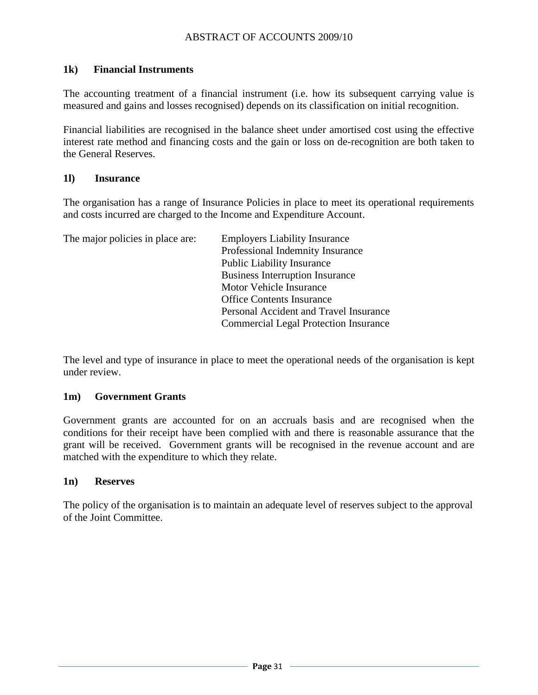#### **1k) Financial Instruments**

The accounting treatment of a financial instrument (i.e. how its subsequent carrying value is measured and gains and losses recognised) depends on its classification on initial recognition.

Financial liabilities are recognised in the balance sheet under amortised cost using the effective interest rate method and financing costs and the gain or loss on de-recognition are both taken to the General Reserves.

#### **1l) Insurance**

The organisation has a range of Insurance Policies in place to meet its operational requirements and costs incurred are charged to the Income and Expenditure Account.

| The major policies in place are: | <b>Employers Liability Insurance</b>         |
|----------------------------------|----------------------------------------------|
|                                  | Professional Indemnity Insurance             |
|                                  | <b>Public Liability Insurance</b>            |
|                                  | <b>Business Interruption Insurance</b>       |
|                                  | Motor Vehicle Insurance                      |
|                                  | <b>Office Contents Insurance</b>             |
|                                  | Personal Accident and Travel Insurance       |
|                                  | <b>Commercial Legal Protection Insurance</b> |

The level and type of insurance in place to meet the operational needs of the organisation is kept under review.

#### **1m) Government Grants**

Government grants are accounted for on an accruals basis and are recognised when the conditions for their receipt have been complied with and there is reasonable assurance that the grant will be received. Government grants will be recognised in the revenue account and are matched with the expenditure to which they relate.

#### **1n) Reserves**

The policy of the organisation is to maintain an adequate level of reserves subject to the approval of the Joint Committee.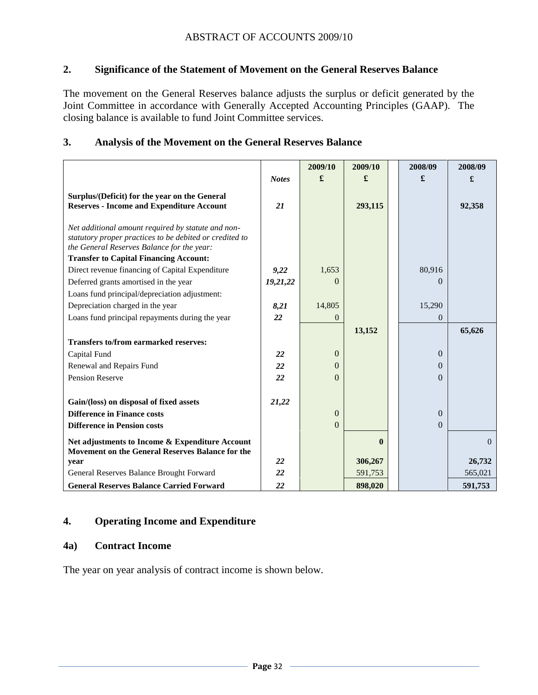#### **2. Significance of the Statement of Movement on the General Reserves Balance**

The movement on the General Reserves balance adjusts the surplus or deficit generated by the Joint Committee in accordance with Generally Accepted Accounting Principles (GAAP). The closing balance is available to fund Joint Committee services.

#### **3. Analysis of the Movement on the General Reserves Balance**

|                                                                                                   |              | 2009/10      | 2009/10      | 2008/09        | 2008/09  |
|---------------------------------------------------------------------------------------------------|--------------|--------------|--------------|----------------|----------|
|                                                                                                   | <b>Notes</b> | £            | £            | £              | £        |
| Surplus/(Deficit) for the year on the General<br><b>Reserves - Income and Expenditure Account</b> | 21           |              | 293,115      |                | 92,358   |
|                                                                                                   |              |              |              |                |          |
| Net additional amount required by statute and non-                                                |              |              |              |                |          |
| statutory proper practices to be debited or credited to                                           |              |              |              |                |          |
| the General Reserves Balance for the year:                                                        |              |              |              |                |          |
| <b>Transfer to Capital Financing Account:</b>                                                     |              |              |              |                |          |
| Direct revenue financing of Capital Expenditure                                                   | 9,22         | 1,653        |              | 80,916         |          |
| Deferred grants amortised in the year                                                             | 19,21,22     | $\Omega$     |              | 0              |          |
| Loans fund principal/depreciation adjustment:                                                     |              |              |              |                |          |
| Depreciation charged in the year                                                                  | 8,21         | 14,805       |              | 15,290         |          |
| Loans fund principal repayments during the year                                                   | 22           | $\theta$     |              | $\overline{0}$ |          |
|                                                                                                   |              |              | 13,152       |                | 65,626   |
| <b>Transfers to/from earmarked reserves:</b>                                                      |              |              |              |                |          |
| Capital Fund                                                                                      | 22           | $\theta$     |              | $\Omega$       |          |
| Renewal and Repairs Fund                                                                          | 22           | $\Omega$     |              | $\Omega$       |          |
| Pension Reserve                                                                                   | 22           | $\Omega$     |              | $\Omega$       |          |
|                                                                                                   |              |              |              |                |          |
| Gain/(loss) on disposal of fixed assets                                                           | 21,22        |              |              |                |          |
| <b>Difference in Finance costs</b>                                                                |              | $\mathbf{0}$ |              | $\theta$       |          |
| <b>Difference in Pension costs</b>                                                                |              | $\theta$     |              | $\Omega$       |          |
| Net adjustments to Income & Expenditure Account                                                   |              |              | $\mathbf{0}$ |                | $\Omega$ |
| Movement on the General Reserves Balance for the                                                  |              |              |              |                |          |
| year                                                                                              | 22           |              | 306,267      |                | 26,732   |
| General Reserves Balance Brought Forward                                                          | 22           |              | 591,753      |                | 565,021  |
| <b>General Reserves Balance Carried Forward</b>                                                   | 22           |              | 898,020      |                | 591,753  |

#### **4. Operating Income and Expenditure**

#### **4a) Contract Income**

The year on year analysis of contract income is shown below.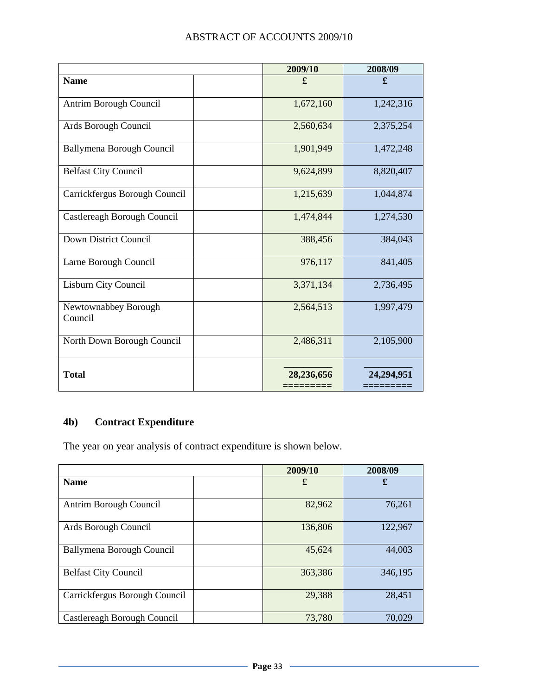| <b>ABSTRACT OF ACCOUNTS 2009/10</b> |  |  |  |
|-------------------------------------|--|--|--|
|-------------------------------------|--|--|--|

|                                 | 2009/10    | 2008/09    |
|---------------------------------|------------|------------|
| <b>Name</b>                     | £          | £          |
| Antrim Borough Council          | 1,672,160  | 1,242,316  |
| Ards Borough Council            | 2,560,634  | 2,375,254  |
| Ballymena Borough Council       | 1,901,949  | 1,472,248  |
| <b>Belfast City Council</b>     | 9,624,899  | 8,820,407  |
| Carrickfergus Borough Council   | 1,215,639  | 1,044,874  |
| Castlereagh Borough Council     | 1,474,844  | 1,274,530  |
| Down District Council           | 388,456    | 384,043    |
| Larne Borough Council           | 976,117    | 841,405    |
| Lisburn City Council            | 3,371,134  | 2,736,495  |
| Newtownabbey Borough<br>Council | 2,564,513  | 1,997,479  |
| North Down Borough Council      | 2,486,311  | 2,105,900  |
| <b>Total</b>                    | 28,236,656 | 24,294,951 |

# **4b) Contract Expenditure**

The year on year analysis of contract expenditure is shown below.

|                                  | 2009/10 | 2008/09 |
|----------------------------------|---------|---------|
| <b>Name</b>                      | £       | £       |
| Antrim Borough Council           | 82,962  | 76,261  |
| Ards Borough Council             | 136,806 | 122,967 |
| <b>Ballymena Borough Council</b> | 45,624  | 44,003  |
| <b>Belfast City Council</b>      | 363,386 | 346,195 |
| Carrickfergus Borough Council    | 29,388  | 28,451  |
| Castlereagh Borough Council      | 73,780  | 70,029  |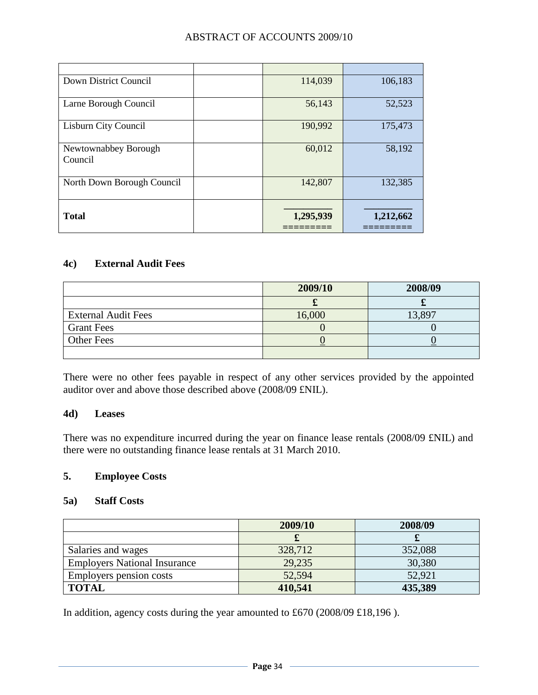| Down District Council           | 114,039   | 106,183   |
|---------------------------------|-----------|-----------|
| Larne Borough Council           | 56,143    | 52,523    |
| Lisburn City Council            | 190,992   | 175,473   |
| Newtownabbey Borough<br>Council | 60,012    | 58,192    |
| North Down Borough Council      | 142,807   | 132,385   |
| <b>Total</b>                    | 1,295,939 | 1,212,662 |

#### **4c) External Audit Fees**

|                            | 2009/10 | 2008/09 |
|----------------------------|---------|---------|
|                            |         |         |
| <b>External Audit Fees</b> | 16,000  | 13,897  |
| <b>Grant Fees</b>          |         |         |
| <b>Other Fees</b>          |         |         |
|                            |         |         |

There were no other fees payable in respect of any other services provided by the appointed auditor over and above those described above (2008/09 £NIL).

#### **4d) Leases**

There was no expenditure incurred during the year on finance lease rentals (2008/09 £NIL) and there were no outstanding finance lease rentals at 31 March 2010.

#### **5. Employee Costs**

#### **5a) Staff Costs**

|                                     | 2009/10 | 2008/09 |
|-------------------------------------|---------|---------|
|                                     |         | ഄ       |
| Salaries and wages                  | 328,712 | 352,088 |
| <b>Employers National Insurance</b> | 29,235  | 30,380  |
| Employers pension costs             | 52,594  | 52,921  |
| <b>TOTAL</b>                        | 410,541 | 435,389 |

In addition, agency costs during the year amounted to £670 (2008/09 £18,196 ).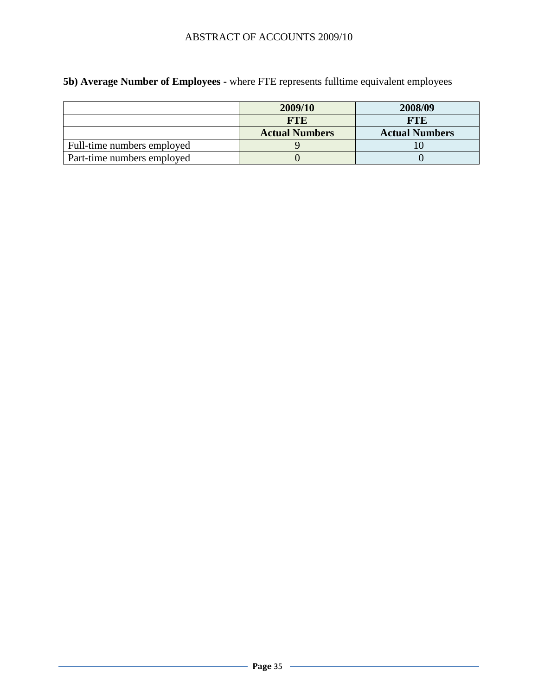**5b) Average Number of Employees -** where FTE represents fulltime equivalent employees

|                            | 2009/10               | 2008/09               |
|----------------------------|-----------------------|-----------------------|
|                            | <b>FTE</b>            | <b>FTE</b>            |
|                            | <b>Actual Numbers</b> | <b>Actual Numbers</b> |
| Full-time numbers employed |                       |                       |
| Part-time numbers employed |                       |                       |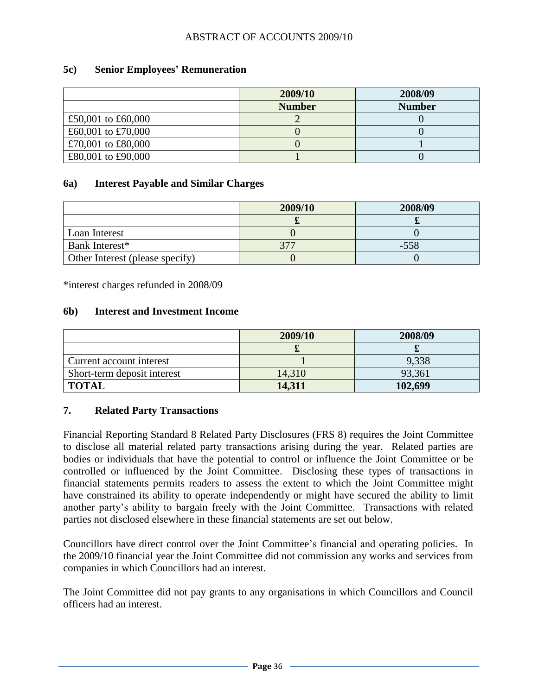#### **5c) Senior Employees' Remuneration**

|                    | 2009/10       | 2008/09       |
|--------------------|---------------|---------------|
|                    | <b>Number</b> | <b>Number</b> |
| £50,001 to £60,000 |               |               |
| £60,001 to £70,000 |               |               |
| £70,001 to £80,000 |               |               |
| £80,001 to £90,000 |               |               |

#### **6a) Interest Payable and Similar Charges**

|                                 | 2009/10 | 2008/09 |
|---------------------------------|---------|---------|
|                                 |         |         |
| Loan Interest                   |         |         |
| Bank Interest*                  | 377     | $-558$  |
| Other Interest (please specify) |         |         |

\*interest charges refunded in 2008/09

#### **6b) Interest and Investment Income**

|                             | 2009/10 | 2008/09 |
|-----------------------------|---------|---------|
|                             |         |         |
| Current account interest    |         | 9,338   |
| Short-term deposit interest | 14,310  | 93,361  |
| <b>TOTAL</b>                | 14,311  | 102,699 |

#### **7. Related Party Transactions**

Financial Reporting Standard 8 Related Party Disclosures (FRS 8) requires the Joint Committee to disclose all material related party transactions arising during the year. Related parties are bodies or individuals that have the potential to control or influence the Joint Committee or be controlled or influenced by the Joint Committee. Disclosing these types of transactions in financial statements permits readers to assess the extent to which the Joint Committee might have constrained its ability to operate independently or might have secured the ability to limit another party's ability to bargain freely with the Joint Committee. Transactions with related parties not disclosed elsewhere in these financial statements are set out below.

Councillors have direct control over the Joint Committee's financial and operating policies. In the 2009/10 financial year the Joint Committee did not commission any works and services from companies in which Councillors had an interest.

The Joint Committee did not pay grants to any organisations in which Councillors and Council officers had an interest.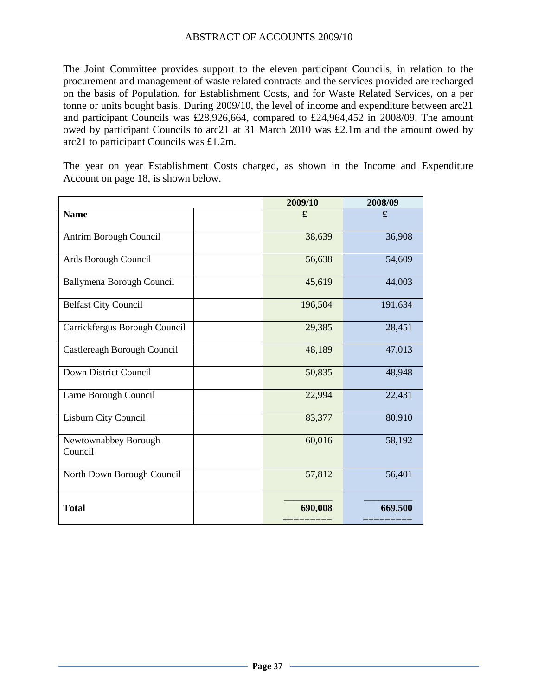The Joint Committee provides support to the eleven participant Councils, in relation to the procurement and management of waste related contracts and the services provided are recharged on the basis of Population, for Establishment Costs, and for Waste Related Services, on a per tonne or units bought basis. During 2009/10, the level of income and expenditure between arc21 and participant Councils was £28,926,664, compared to £24,964,452 in 2008/09. The amount owed by participant Councils to arc21 at 31 March 2010 was £2.1m and the amount owed by arc21 to participant Councils was £1.2m.

The year on year Establishment Costs charged, as shown in the Income and Expenditure Account on page 18, is shown below.

|                                 | 2009/10 | 2008/09 |
|---------------------------------|---------|---------|
| <b>Name</b>                     | £       | £       |
| Antrim Borough Council          | 38,639  | 36,908  |
| Ards Borough Council            | 56,638  | 54,609  |
| Ballymena Borough Council       | 45,619  | 44,003  |
| <b>Belfast City Council</b>     | 196,504 | 191,634 |
| Carrickfergus Borough Council   | 29,385  | 28,451  |
| Castlereagh Borough Council     | 48,189  | 47,013  |
| <b>Down District Council</b>    | 50,835  | 48,948  |
| Larne Borough Council           | 22,994  | 22,431  |
| Lisburn City Council            | 83,377  | 80,910  |
| Newtownabbey Borough<br>Council | 60,016  | 58,192  |
| North Down Borough Council      | 57,812  | 56,401  |
| <b>Total</b>                    | 690,008 | 669,500 |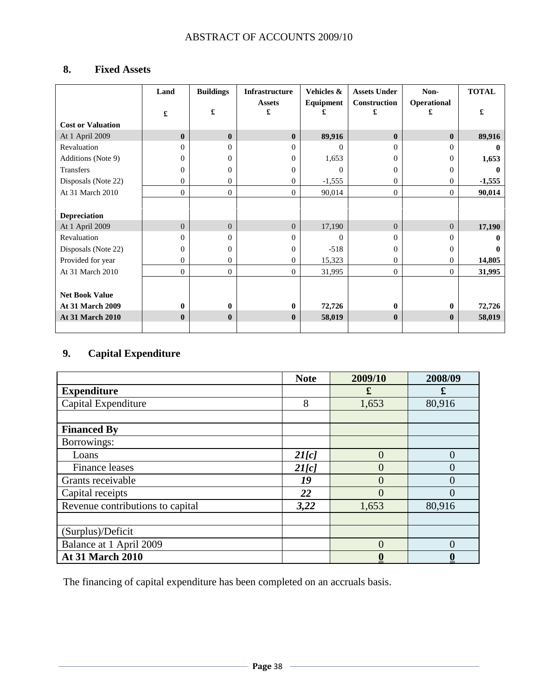# **8. Fixed Assets**

|                          | Land           | <b>Buildings</b> | Infrastructure     | Vehicles & | <b>Assets Under</b> | Non-           | <b>TOTAL</b> |
|--------------------------|----------------|------------------|--------------------|------------|---------------------|----------------|--------------|
|                          | £              | £                | <b>Assets</b><br>£ | Equipment  | Construction<br>£   | Operational    | £            |
| <b>Cost or Valuation</b> |                |                  |                    |            |                     |                |              |
| At 1 April 2009          | $\mathbf{0}$   | $\mathbf{0}$     | $\mathbf{0}$       | 89,916     | $\bf{0}$            | $\mathbf{0}$   | 89,916       |
| Revaluation              | 0              | $\Omega$         | $\Omega$           | $\Omega$   | $\Omega$            | 0              | o            |
| Additions (Note 9)       | $\Omega$       | $\Omega$         | $\Omega$           | 1,653      | $\Omega$            | $^{(1)}$       | 1,653        |
| Transfers                | $\Omega$       | $\Omega$         | 0                  | $\Omega$   | $\mathbf{0}$        | 0              |              |
| Disposals (Note 22)      | 0              | $\Omega$         | $\Omega$           | $-1,555$   | $\mathbf{0}$        | 0              | $-1,555$     |
| At 31 March 2010         | $\overline{0}$ | $\overline{0}$   | $\overline{0}$     | 90,014     | $\overline{0}$      | $\overline{0}$ | 90,014       |
|                          |                |                  |                    |            |                     |                |              |
| <b>Depreciation</b>      |                |                  |                    |            |                     |                |              |
| At 1 April 2009          | $\overline{0}$ | $\Omega$         | $\overline{0}$     | 17,190     | $\overline{0}$      | $\Omega$       | 17,190       |
| Revaluation              | $\Omega$       | $\Omega$         | $\Omega$           | $\Omega$   | $\Omega$            | 0              |              |
| Disposals (Note 22)      | $\Omega$       | $\Omega$         | 0                  | $-518$     | $\mathbf{0}$        | 0              |              |
| Provided for year        | 0              | $\Omega$         | $\Omega$           | 15,323     | $\mathbf{0}$        | 0              | 14,805       |
| At 31 March 2010         | $\Omega$       | $\overline{0}$   | $\Omega$           | 31,995     | $\overline{0}$      | $\Omega$       | 31,995       |
|                          |                |                  |                    |            |                     |                |              |
| <b>Net Book Value</b>    |                |                  |                    |            |                     |                |              |
| <b>At 31 March 2009</b>  | $\mathbf{0}$   | $\mathbf{0}$     | $\mathbf{0}$       | 72,726     | $\mathbf{0}$        | 0              | 72,726       |
| <b>At 31 March 2010</b>  | $\mathbf{0}$   | $\mathbf{0}$     | $\mathbf{0}$       | 58,019     | $\bf{0}$            | $\bf{0}$       | 58,019       |
|                          |                |                  |                    |            |                     |                |              |

# **9. Capital Expenditure**

|                                  | <b>Note</b> | 2009/10  | 2008/09  |
|----------------------------------|-------------|----------|----------|
| <b>Expenditure</b>               |             | £        | £        |
| Capital Expenditure              | 8           | 1,653    | 80,916   |
|                                  |             |          |          |
| <b>Financed By</b>               |             |          |          |
| Borrowings:                      |             |          |          |
| Loans                            | 2I[c]       | 0        | $\theta$ |
| <b>Finance leases</b>            | 2I[c]       |          | $\Omega$ |
| Grants receivable                | 19          |          | 0        |
| Capital receipts                 | 22          |          | $\theta$ |
| Revenue contributions to capital | 3,22        | 1,653    | 80,916   |
|                                  |             |          |          |
| (Surplus)/Deficit                |             |          |          |
| Balance at 1 April 2009          |             | $\Omega$ | $\Omega$ |
| <b>At 31 March 2010</b>          |             |          |          |

The financing of capital expenditure has been completed on an accruals basis.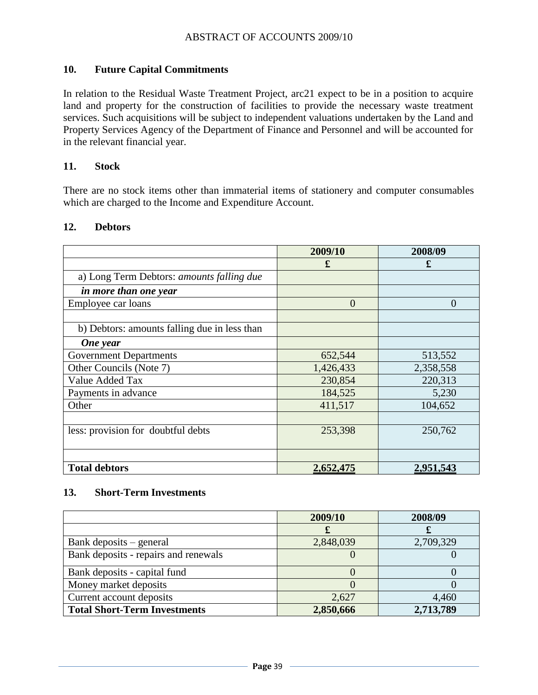#### **10. Future Capital Commitments**

In relation to the Residual Waste Treatment Project, arc21 expect to be in a position to acquire land and property for the construction of facilities to provide the necessary waste treatment services. Such acquisitions will be subject to independent valuations undertaken by the Land and Property Services Agency of the Department of Finance and Personnel and will be accounted for in the relevant financial year.

#### **11. Stock**

There are no stock items other than immaterial items of stationery and computer consumables which are charged to the Income and Expenditure Account.

|                                              | 2009/10        | 2008/09        |
|----------------------------------------------|----------------|----------------|
|                                              | £              | £              |
| a) Long Term Debtors: amounts falling due    |                |                |
| in more than one year                        |                |                |
| Employee car loans                           | $\overline{0}$ | $\overline{0}$ |
|                                              |                |                |
| b) Debtors: amounts falling due in less than |                |                |
| One year                                     |                |                |
| <b>Government Departments</b>                | 652,544        | 513,552        |
| Other Councils (Note 7)                      | 1,426,433      | 2,358,558      |
| Value Added Tax                              | 230,854        | 220,313        |
| Payments in advance                          | 184,525        | 5,230          |
| Other                                        | 411,517        | 104,652        |
|                                              |                |                |
| less: provision for doubtful debts           | 253,398        | 250,762        |
|                                              |                |                |
|                                              |                |                |
| <b>Total debtors</b>                         | 2,652,475      | 2,951,543      |

#### **12. Debtors**

#### **13. Short-Term Investments**

|                                      | 2009/10   | 2008/09   |
|--------------------------------------|-----------|-----------|
|                                      |           |           |
| Bank deposits – general              | 2,848,039 | 2,709,329 |
| Bank deposits - repairs and renewals |           |           |
| Bank deposits - capital fund         |           |           |
| Money market deposits                |           |           |
| Current account deposits             | 2,627     | 4,460     |
| <b>Total Short-Term Investments</b>  | 2,850,666 | 2,713,789 |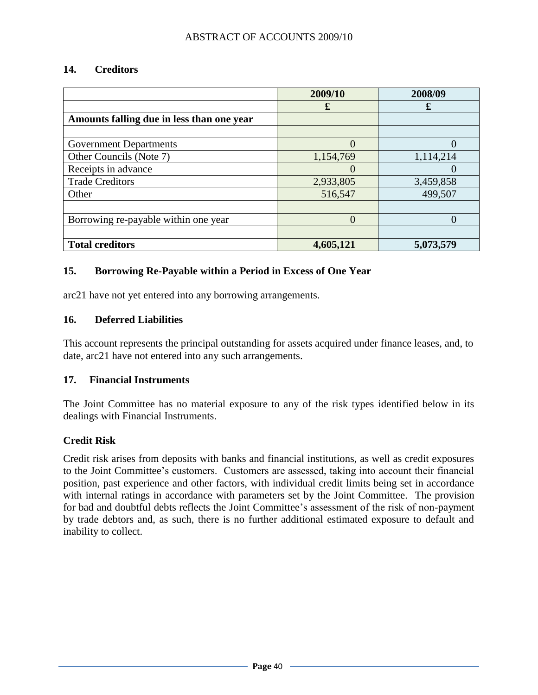#### **14. Creditors**

|                                           | 2009/10   | 2008/09   |
|-------------------------------------------|-----------|-----------|
|                                           | £         | £         |
| Amounts falling due in less than one year |           |           |
|                                           |           |           |
| <b>Government Departments</b>             | $\Omega$  |           |
| Other Councils (Note 7)                   | 1,154,769 | 1,114,214 |
| Receipts in advance                       |           |           |
| <b>Trade Creditors</b>                    | 2,933,805 | 3,459,858 |
| Other                                     | 516,547   | 499,507   |
|                                           |           |           |
| Borrowing re-payable within one year      | $\Omega$  |           |
|                                           |           |           |
| <b>Total creditors</b>                    | 4,605,121 | 5,073,579 |

#### **15. Borrowing Re-Payable within a Period in Excess of One Year**

arc21 have not yet entered into any borrowing arrangements.

#### **16. Deferred Liabilities**

This account represents the principal outstanding for assets acquired under finance leases, and, to date, arc21 have not entered into any such arrangements.

#### **17. Financial Instruments**

The Joint Committee has no material exposure to any of the risk types identified below in its dealings with Financial Instruments.

#### **Credit Risk**

Credit risk arises from deposits with banks and financial institutions, as well as credit exposures to the Joint Committee's customers. Customers are assessed, taking into account their financial position, past experience and other factors, with individual credit limits being set in accordance with internal ratings in accordance with parameters set by the Joint Committee. The provision for bad and doubtful debts reflects the Joint Committee's assessment of the risk of non-payment by trade debtors and, as such, there is no further additional estimated exposure to default and inability to collect.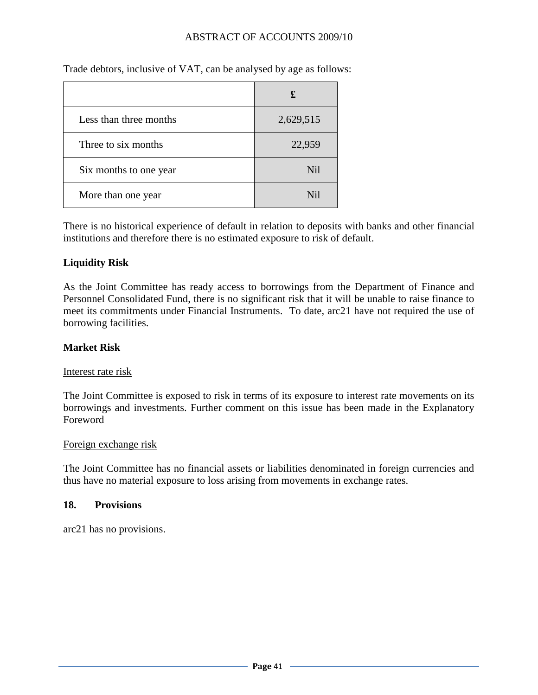| Less than three months | 2,629,515       |
|------------------------|-----------------|
| Three to six months    | 22,959          |
| Six months to one year | <b>Nil</b>      |
| More than one year     | N <sub>il</sub> |

Trade debtors, inclusive of VAT, can be analysed by age as follows:

There is no historical experience of default in relation to deposits with banks and other financial institutions and therefore there is no estimated exposure to risk of default.

#### **Liquidity Risk**

As the Joint Committee has ready access to borrowings from the Department of Finance and Personnel Consolidated Fund, there is no significant risk that it will be unable to raise finance to meet its commitments under Financial Instruments. To date, arc21 have not required the use of borrowing facilities.

#### **Market Risk**

#### Interest rate risk

The Joint Committee is exposed to risk in terms of its exposure to interest rate movements on its borrowings and investments. Further comment on this issue has been made in the Explanatory Foreword

#### Foreign exchange risk

The Joint Committee has no financial assets or liabilities denominated in foreign currencies and thus have no material exposure to loss arising from movements in exchange rates.

#### **18. Provisions**

arc21 has no provisions.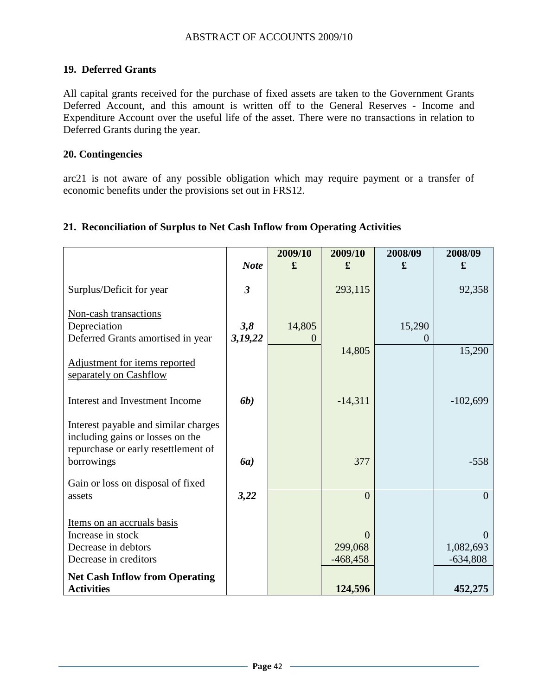### **19. Deferred Grants**

All capital grants received for the purchase of fixed assets are taken to the Government Grants Deferred Account, and this amount is written off to the General Reserves - Income and Expenditure Account over the useful life of the asset. There were no transactions in relation to Deferred Grants during the year.

#### **20. Contingencies**

arc21 is not aware of any possible obligation which may require payment or a transfer of economic benefits under the provisions set out in FRS12.

#### **21. Reconciliation of Surplus to Net Cash Inflow from Operating Activities**

|                                                                                                                               |                         | 2009/10            | 2009/10                           | 2008/09 | 2008/09                             |
|-------------------------------------------------------------------------------------------------------------------------------|-------------------------|--------------------|-----------------------------------|---------|-------------------------------------|
|                                                                                                                               | <b>Note</b>             | £                  | £                                 | £       | £                                   |
| Surplus/Deficit for year                                                                                                      | $\overline{\mathbf{3}}$ |                    | 293,115                           |         | 92,358                              |
| Non-cash transactions<br>Depreciation<br>Deferred Grants amortised in year                                                    | 3,8<br>3,19,22          | 14,805<br>$\theta$ |                                   | 15,290  |                                     |
| Adjustment for items reported<br>separately on Cashflow                                                                       |                         |                    | 14,805                            |         | 15,290                              |
| Interest and Investment Income                                                                                                | <b>6b</b> )             |                    | $-14,311$                         |         | $-102,699$                          |
| Interest payable and similar charges<br>including gains or losses on the<br>repurchase or early resettlement of<br>borrowings | <b>6a</b> )             |                    | 377                               |         | $-558$                              |
| Gain or loss on disposal of fixed<br>assets                                                                                   | 3,22                    |                    | $\overline{0}$                    |         | $\overline{0}$                      |
| Items on an accruals basis<br>Increase in stock<br>Decrease in debtors<br>Decrease in creditors                               |                         |                    | $\Omega$<br>299,068<br>$-468,458$ |         | $\Omega$<br>1,082,693<br>$-634,808$ |
| <b>Net Cash Inflow from Operating</b><br><b>Activities</b>                                                                    |                         |                    | 124,596                           |         | 452,275                             |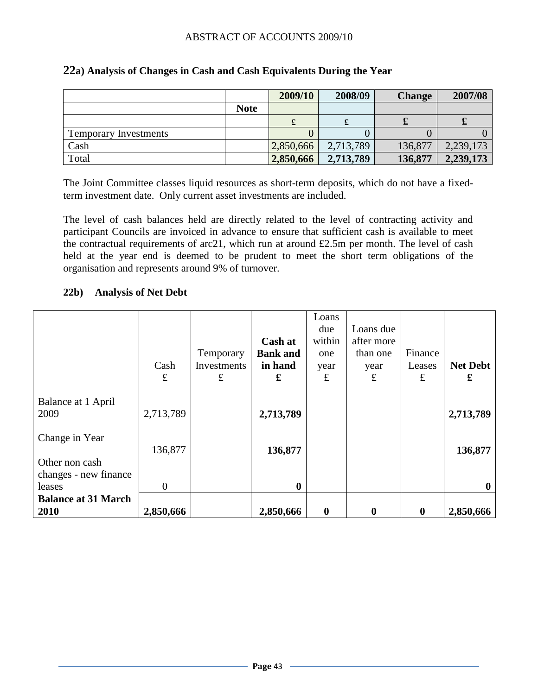|                              |             | 2009/10   | 2008/09   | <b>Change</b> | 2007/08   |
|------------------------------|-------------|-----------|-----------|---------------|-----------|
|                              | <b>Note</b> |           |           |               |           |
|                              |             |           |           |               |           |
| <b>Temporary Investments</b> |             |           |           |               |           |
| Cash                         |             | 2,850,666 | 2,713,789 | 136,877       | 2,239,173 |
| Total                        |             | 2,850,666 | 2,713,789 | 136,877       | 2,239,173 |

#### **22a) Analysis of Changes in Cash and Cash Equivalents During the Year**

The Joint Committee classes liquid resources as short-term deposits, which do not have a fixedterm investment date. Only current asset investments are included.

The level of cash balances held are directly related to the level of contracting activity and participant Councils are invoiced in advance to ensure that sufficient cash is available to meet the contractual requirements of arc21, which run at around £2.5m per month. The level of cash held at the year end is deemed to be prudent to meet the short term obligations of the organisation and represents around 9% of turnover.

#### **22b) Analysis of Net Debt**

|                            |           |             |                 | Loans    |              |          |                 |
|----------------------------|-----------|-------------|-----------------|----------|--------------|----------|-----------------|
|                            |           |             |                 | due      | Loans due    |          |                 |
|                            |           |             | <b>Cash at</b>  | within   | after more   |          |                 |
|                            |           | Temporary   | <b>Bank and</b> | one      | than one     | Finance  |                 |
|                            | Cash      | Investments | in hand         | year     | year         | Leases   | <b>Net Debt</b> |
|                            | £         | $\pounds$   | £               | £        | $\mathbf f$  | £        | £               |
|                            |           |             |                 |          |              |          |                 |
| Balance at 1 April         |           |             |                 |          |              |          |                 |
| 2009                       | 2,713,789 |             | 2,713,789       |          |              |          | 2,713,789       |
| Change in Year             |           |             |                 |          |              |          |                 |
|                            | 136,877   |             | 136,877         |          |              |          | 136,877         |
| Other non cash             |           |             |                 |          |              |          |                 |
| changes - new finance      |           |             |                 |          |              |          |                 |
| leases                     | $\theta$  |             | $\bf{0}$        |          |              |          | $\mathbf 0$     |
| <b>Balance at 31 March</b> |           |             |                 |          |              |          |                 |
| 2010                       | 2,850,666 |             | 2,850,666       | $\bf{0}$ | $\mathbf{0}$ | $\bf{0}$ | 2,850,666       |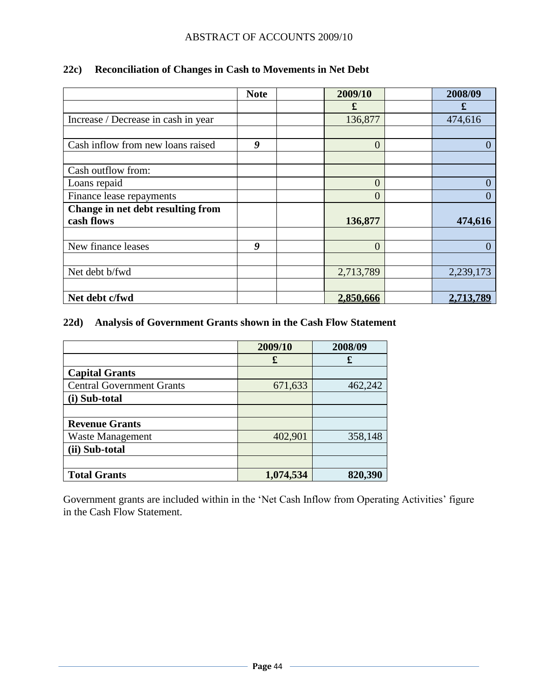|                                     | <b>Note</b> | 2009/10        | 2008/09   |
|-------------------------------------|-------------|----------------|-----------|
|                                     |             | £              | £         |
| Increase / Decrease in cash in year |             | 136,877        | 474,616   |
|                                     |             |                |           |
| Cash inflow from new loans raised   | 9           | $\overline{0}$ |           |
|                                     |             |                |           |
| Cash outflow from:                  |             |                |           |
| Loans repaid                        |             | $\overline{0}$ |           |
| Finance lease repayments            |             | 0              |           |
| Change in net debt resulting from   |             |                |           |
| cash flows                          |             | 136,877        | 474,616   |
|                                     |             |                |           |
| New finance leases                  | 9           | $\overline{0}$ |           |
|                                     |             |                |           |
| Net debt b/fwd                      |             | 2,713,789      | 2,239,173 |
|                                     |             |                |           |
| Net debt c/fwd                      |             | 2,850,666      | 2,713,789 |

# **22c) Reconciliation of Changes in Cash to Movements in Net Debt**

## **22d) Analysis of Government Grants shown in the Cash Flow Statement**

|                                  | 2009/10   | 2008/09 |
|----------------------------------|-----------|---------|
|                                  | £         | £       |
| <b>Capital Grants</b>            |           |         |
| <b>Central Government Grants</b> | 671,633   | 462,242 |
| (i) Sub-total                    |           |         |
|                                  |           |         |
| <b>Revenue Grants</b>            |           |         |
| <b>Waste Management</b>          | 402,901   | 358,148 |
| (ii) Sub-total                   |           |         |
|                                  |           |         |
| <b>Total Grants</b>              | 1,074,534 | 820,390 |

Government grants are included within in the 'Net Cash Inflow from Operating Activities' figure in the Cash Flow Statement.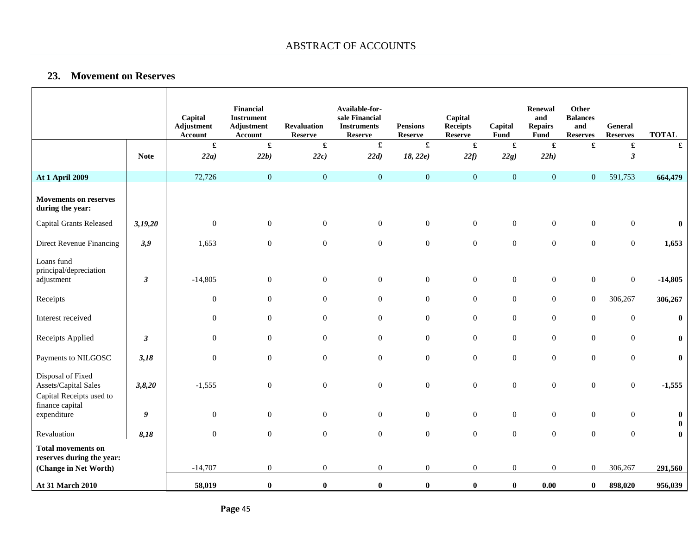#### **23. Movement on Reserves**

 $\mathbf{I}$ 

 $\overline{1}$ 

|                                                                       |             | Capital<br>Adjustment<br><b>Account</b> | Financial<br><b>Instrument</b><br>Adjustment<br><b>Account</b> | <b>Revaluation</b><br><b>Reserve</b> | Available-for-<br>sale Financial<br><b>Instruments</b><br><b>Reserve</b> | <b>Pensions</b><br><b>Reserve</b> | Capital<br><b>Receipts</b><br><b>Reserve</b> | Capital<br>Fund  | Renewal<br>and<br><b>Repairs</b><br>Fund | Other<br><b>Balances</b><br>and<br><b>Reserves</b> | <b>General</b><br><b>Reserves</b> | <b>TOTAL</b>         |
|-----------------------------------------------------------------------|-------------|-----------------------------------------|----------------------------------------------------------------|--------------------------------------|--------------------------------------------------------------------------|-----------------------------------|----------------------------------------------|------------------|------------------------------------------|----------------------------------------------------|-----------------------------------|----------------------|
|                                                                       |             | $\pmb{\mathfrak{L}}$                    | $\pmb{\mathfrak{L}}$                                           | $\pmb{\mathfrak{L}}$                 | $\mathbf f$                                                              | £                                 | $\pmb{\mathfrak{L}}$                         | $\mathbf f$      | $\pmb{\mathfrak{L}}$                     | $\pmb{\mathfrak{L}}$                               | $\pmb{\mathfrak{L}}$              | $\pmb{\mathfrak{L}}$ |
|                                                                       | <b>Note</b> | 22a)                                    | 22b)                                                           | 22c)                                 | 22d)                                                                     | 18, 22e)                          | 22f                                          | 22g)             | 22h)                                     |                                                    | $\boldsymbol{\beta}$              |                      |
| <b>At 1 April 2009</b>                                                |             | 72,726                                  | $\boldsymbol{0}$                                               | $\boldsymbol{0}$                     | $\boldsymbol{0}$                                                         | $\boldsymbol{0}$                  | $\mathbf{0}$                                 | $\mathbf{0}$     | $\boldsymbol{0}$                         | $\mathbf{0}$                                       | 591,753                           | 664,479              |
| <b>Movements on reserves</b><br>during the year:                      |             |                                         |                                                                |                                      |                                                                          |                                   |                                              |                  |                                          |                                                    |                                   |                      |
| <b>Capital Grants Released</b>                                        | 3,19,20     | $\boldsymbol{0}$                        | $\boldsymbol{0}$                                               | $\boldsymbol{0}$                     | $\mathbf{0}$                                                             | $\boldsymbol{0}$                  | $\boldsymbol{0}$                             | $\boldsymbol{0}$ | $\boldsymbol{0}$                         | $\mathbf{0}$                                       | $\overline{0}$                    | 0                    |
| Direct Revenue Financing                                              | 3,9         | 1,653                                   | $\boldsymbol{0}$                                               | $\boldsymbol{0}$                     | $\boldsymbol{0}$                                                         | $\boldsymbol{0}$                  | $\boldsymbol{0}$                             | $\boldsymbol{0}$ | $\boldsymbol{0}$                         | $\boldsymbol{0}$                                   | $\overline{0}$                    | 1,653                |
| Loans fund<br>principal/depreciation<br>adjustment                    | 3           | $-14,805$                               | $\boldsymbol{0}$                                               | $\boldsymbol{0}$                     | $\boldsymbol{0}$                                                         | $\boldsymbol{0}$                  | $\boldsymbol{0}$                             | $\boldsymbol{0}$ | $\boldsymbol{0}$                         | $\boldsymbol{0}$                                   | $\mathbf{0}$                      | $-14,805$            |
| Receipts                                                              |             | $\mathbf{0}$                            | $\boldsymbol{0}$                                               | $\boldsymbol{0}$                     | $\mathbf{0}$                                                             | $\boldsymbol{0}$                  | $\boldsymbol{0}$                             | $\mathbf{0}$     | $\mathbf{0}$                             | $\overline{0}$                                     | 306,267                           | 306,267              |
| Interest received                                                     |             | $\boldsymbol{0}$                        | $\boldsymbol{0}$                                               | $\boldsymbol{0}$                     | $\boldsymbol{0}$                                                         | $\boldsymbol{0}$                  | $\boldsymbol{0}$                             | $\boldsymbol{0}$ | $\boldsymbol{0}$                         | $\boldsymbol{0}$                                   | $\boldsymbol{0}$                  | $\bf{0}$             |
| Receipts Applied                                                      | 3           | $\boldsymbol{0}$                        | $\boldsymbol{0}$                                               | $\boldsymbol{0}$                     | $\mathbf{0}$                                                             | $\boldsymbol{0}$                  | $\boldsymbol{0}$                             | $\boldsymbol{0}$ | $\boldsymbol{0}$                         | $\boldsymbol{0}$                                   | $\overline{0}$                    | $\bf{0}$             |
| Payments to NILGOSC                                                   | 3,18        | $\mathbf{0}$                            | $\boldsymbol{0}$                                               | $\boldsymbol{0}$                     | $\boldsymbol{0}$                                                         | $\boldsymbol{0}$                  | $\boldsymbol{0}$                             | $\mathbf{0}$     | $\boldsymbol{0}$                         | $\boldsymbol{0}$                                   | $\overline{0}$                    | $\bf{0}$             |
| Disposal of Fixed<br>Assets/Capital Sales<br>Capital Receipts used to | 3,8,20      | $-1,555$                                | $\boldsymbol{0}$                                               | $\boldsymbol{0}$                     | $\mathbf{0}$                                                             | $\boldsymbol{0}$                  | $\boldsymbol{0}$                             | $\boldsymbol{0}$ | $\boldsymbol{0}$                         | $\boldsymbol{0}$                                   | $\mathbf{0}$                      | $-1,555$             |
| finance capital<br>expenditure                                        | 9           | $\boldsymbol{0}$                        | $\boldsymbol{0}$                                               | $\boldsymbol{0}$                     | $\overline{0}$                                                           | $\boldsymbol{0}$                  | $\boldsymbol{0}$                             | $\mathbf{0}$     | $\boldsymbol{0}$                         | $\mathbf{0}$                                       | $\overline{0}$                    | $\bf{0}$<br>$\bf{0}$ |
| Revaluation                                                           | 8,18        | $\overline{0}$                          | $\boldsymbol{0}$                                               | $\mathbf{0}$                         | $\overline{0}$                                                           | $\boldsymbol{0}$                  | $\mathbf{0}$                                 | $\boldsymbol{0}$ | $\mathbf{0}$                             | $\boldsymbol{0}$                                   | $\overline{0}$                    | $\bf{0}$             |
| <b>Total movements on</b><br>reserves during the year:                |             |                                         |                                                                |                                      |                                                                          |                                   |                                              |                  |                                          |                                                    |                                   |                      |
| (Change in Net Worth)                                                 |             | $-14,707$                               | $\boldsymbol{0}$                                               | $\mathbf{0}$                         | $\mathbf{0}$                                                             | $\mathbf{0}$                      | $\boldsymbol{0}$                             | $\boldsymbol{0}$ | $\boldsymbol{0}$                         | $\boldsymbol{0}$                                   | 306,267                           | 291,560              |
| At 31 March 2010                                                      |             | 58,019                                  | $\pmb{0}$                                                      | $\bf{0}$                             | $\bf{0}$                                                                 | $\bf{0}$                          | $\bf{0}$                                     | $\bf{0}$         | 0.00                                     | $\bf{0}$                                           | 898,020                           | 956,039              |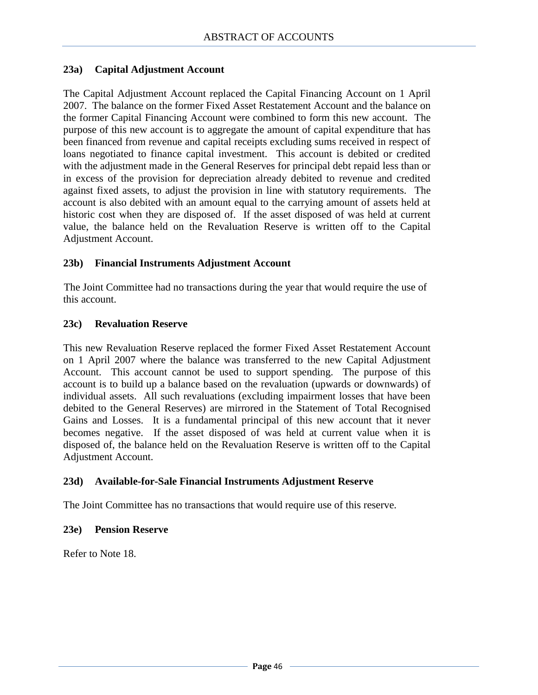#### **23a) Capital Adjustment Account**

The Capital Adjustment Account replaced the Capital Financing Account on 1 April 2007. The balance on the former Fixed Asset Restatement Account and the balance on the former Capital Financing Account were combined to form this new account. The purpose of this new account is to aggregate the amount of capital expenditure that has been financed from revenue and capital receipts excluding sums received in respect of loans negotiated to finance capital investment. This account is debited or credited with the adjustment made in the General Reserves for principal debt repaid less than or in excess of the provision for depreciation already debited to revenue and credited against fixed assets, to adjust the provision in line with statutory requirements. The account is also debited with an amount equal to the carrying amount of assets held at historic cost when they are disposed of. If the asset disposed of was held at current value, the balance held on the Revaluation Reserve is written off to the Capital Adjustment Account.

#### **23b) Financial Instruments Adjustment Account**

The Joint Committee had no transactions during the year that would require the use of this account.

#### **23c) Revaluation Reserve**

This new Revaluation Reserve replaced the former Fixed Asset Restatement Account on 1 April 2007 where the balance was transferred to the new Capital Adjustment Account. This account cannot be used to support spending. The purpose of this account is to build up a balance based on the revaluation (upwards or downwards) of individual assets. All such revaluations (excluding impairment losses that have been debited to the General Reserves) are mirrored in the Statement of Total Recognised Gains and Losses. It is a fundamental principal of this new account that it never becomes negative. If the asset disposed of was held at current value when it is disposed of, the balance held on the Revaluation Reserve is written off to the Capital Adjustment Account.

#### **23d) Available-for-Sale Financial Instruments Adjustment Reserve**

The Joint Committee has no transactions that would require use of this reserve.

#### **23e) Pension Reserve**

Refer to Note 18.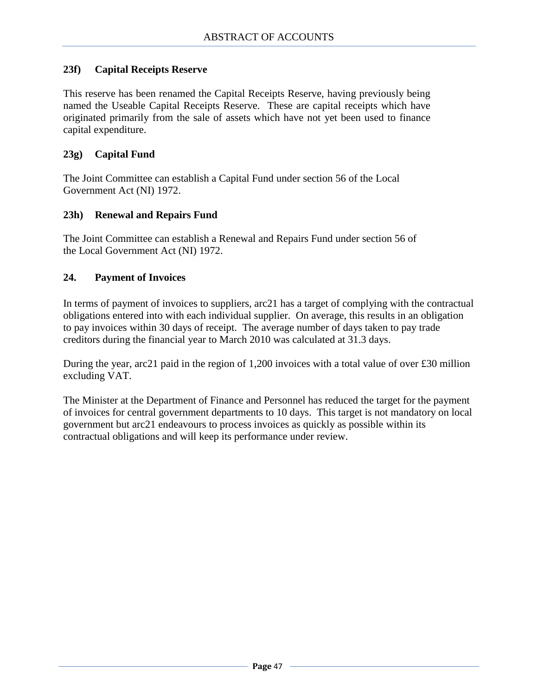### **23f) Capital Receipts Reserve**

This reserve has been renamed the Capital Receipts Reserve, having previously being named the Useable Capital Receipts Reserve. These are capital receipts which have originated primarily from the sale of assets which have not yet been used to finance capital expenditure.

#### **23g) Capital Fund**

The Joint Committee can establish a Capital Fund under section 56 of the Local Government Act (NI) 1972.

#### **23h) Renewal and Repairs Fund**

The Joint Committee can establish a Renewal and Repairs Fund under section 56 of the Local Government Act (NI) 1972.

#### **24. Payment of Invoices**

In terms of payment of invoices to suppliers, arc21 has a target of complying with the contractual obligations entered into with each individual supplier. On average, this results in an obligation to pay invoices within 30 days of receipt. The average number of days taken to pay trade creditors during the financial year to March 2010 was calculated at 31.3 days.

During the year, arc21 paid in the region of 1,200 invoices with a total value of over £30 million excluding VAT.

The Minister at the Department of Finance and Personnel has reduced the target for the payment of invoices for central government departments to 10 days. This target is not mandatory on local government but arc21 endeavours to process invoices as quickly as possible within its contractual obligations and will keep its performance under review.